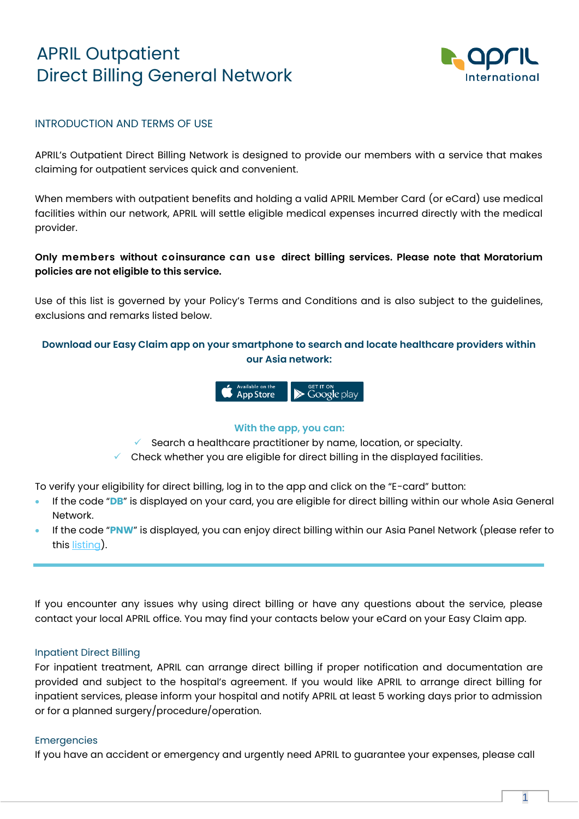# APRIL Outpatient Direct Billing General Network



### INTRODUCTION AND TERMS OF USE

APRIL's Outpatient Direct Billing Network is designed to provide our members with a service that makes claiming for outpatient services quick and convenient.

When members with outpatient benefits and holding a valid APRIL Member Card (or eCard) use medical facilities within our network, APRIL will settle eligible medical expenses incurred directly with the medical provider.

## **Only members without coinsurance can use direct billing services. Please note that Moratorium policies are not eligible to this service.**

Use of this list is governed by your Policy's Terms and Conditions and is also subject to the guidelines, exclusions and remarks listed below.

## **Download our Easy Claim app on your smartphone to search and locate healthcare providers within our Asia network:**



#### **With the app, you can:**

 $\checkmark$  Search a healthcare practitioner by name, location, or specialty.

 $\checkmark$  Check whether you are eligible for direct billing in the displayed facilities.

To verify your eligibility for direct billing, log in to the app and click on the "E-card" button:

- If the code "**DB**" is displayed on your card, you are eligible for direct billing within our whole Asia General Network.
- If the code "**PNW**" is displayed, you can enjoy direct billing within our Asia Panel Network (please refer to this [listing\)](https://asia.april-international.com/sites/asia/files/Direct%20Billing%20PANEL%20Network%20-%201st%20November%202020.pdf).

If you encounter any issues why using direct billing or have any questions about the service, please contact your local APRIL office. You may find your contacts below your eCard on your Easy Claim app.

#### Inpatient Direct Billing

For inpatient treatment, APRIL can arrange direct billing if proper notification and documentation are provided and subject to the hospital's agreement. If you would like APRIL to arrange direct billing for inpatient services, please inform your hospital and notify APRIL at least 5 working days prior to admission or for a planned surgery/procedure/operation.

#### Emergencies

If you have an accident or emergency and urgently need APRIL to guarantee your expenses, please call

1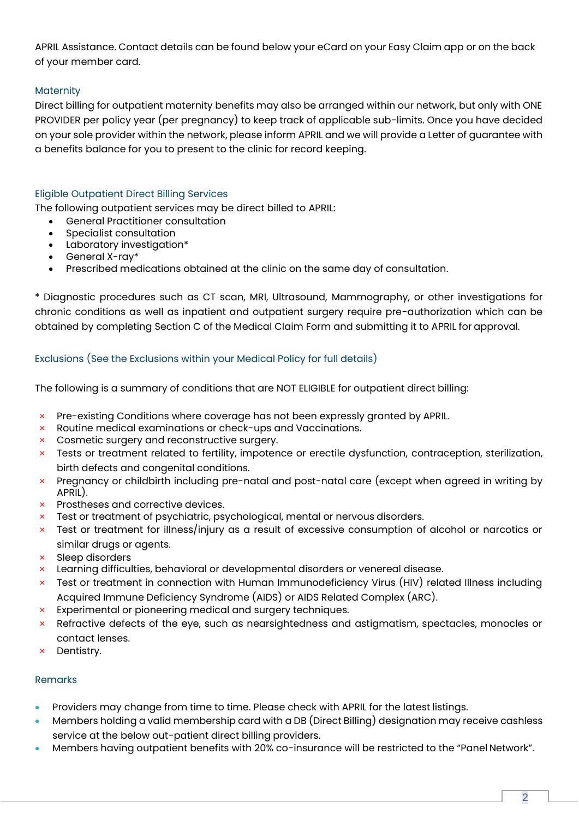APRIL Assistance. Contact details can be found below your eCard on your Easy Claim app or on the back of your member card.

## **Maternity**

Direct billing for outpatient maternity benefits may also be arranged within our network, but only with ONE PROVIDER per policy year (per pregnancy) to keep track of applicable sub-limits. Once you have decided on your sole provider within the network, please inform APRIL and we will provide a Letter of guarantee with a benefits balance for you to present to the clinic for record keeping.

## Eligible Outpatient Direct Billing Services

The following outpatient services may be direct billed to APRIL:

- General Practitioner consultation
- Specialist consultation
- Laboratory investigation\*
- General X-ray\*
- Prescribed medications obtained at the clinic on the same day of consultation.

\* Diagnostic procedures such as CT scan, MRI, Ultrasound, Mammography, or other investigations for chronic conditions as well as inpatient and outpatient surgery require pre-authorization which can be obtained by completing Section C of the Medical Claim Form and submitting it to APRIL for approval.

## Exclusions (See the Exclusions within your Medical Policy for full details)

The following is a summary of conditions that are NOT ELIGIBLE for outpatient direct billing:

- × Pre-existing Conditions where coverage has not been expressly granted by APRIL.
- × Routine medical examinations or check-ups and Vaccinations.
- × Cosmetic surgery and reconstructive surgery.
- × Tests or treatment related to fertility, impotence or erectile dysfunction, contraception, sterilization, birth defects and congenital conditions.
- × Pregnancy or childbirth including pre-natal and post-natal care (except when agreed in writing by APRIL).
- × Prostheses and corrective devices.
- × Test or treatment of psychiatric, psychological, mental or nervous disorders.
- × Test or treatment for illness/injury as a result of excessive consumption of alcohol or narcotics or similar drugs or agents.
- × Sleep disorders
- × Learning difficulties, behavioral or developmental disorders or venereal disease.
- × Test or treatment in connection with Human Immunodeficiency Virus (HIV) related Illness including Acquired Immune Deficiency Syndrome (AIDS) or AIDS Related Complex (ARC).
- × Experimental or pioneering medical and surgery techniques.
- × Refractive defects of the eye, such as nearsightedness and astigmatism, spectacles, monocles or contact lenses.
- × Dentistry.

## Remarks

- Providers may change from time to time. Please check with APRIL for the latest listings.
- Members holding a valid membership card with a DB (Direct Billing) designation may receive cashless service at the below out-patient direct billing providers.
- Members having outpatient benefits with 20% co-insurance will be restricted to the "Panel Network".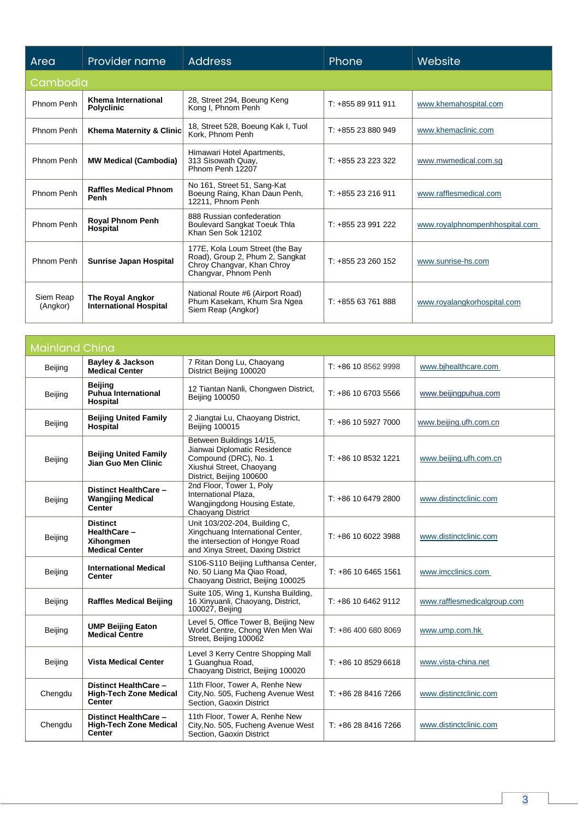| Area                  | Provider name                                     | <b>Address</b>                                                                                                           | <b>Phone</b>       | Website                        |  |  |  |
|-----------------------|---------------------------------------------------|--------------------------------------------------------------------------------------------------------------------------|--------------------|--------------------------------|--|--|--|
|                       | Cambodia                                          |                                                                                                                          |                    |                                |  |  |  |
| Phnom Penh            | Khema International<br><b>Polyclinic</b>          | 28, Street 294, Boeung Keng<br>Kong I, Phnom Penh                                                                        | $T: +85589911911$  | www.khemahospital.com          |  |  |  |
| Phnom Penh            | Khema Maternity & Clinic                          | 18, Street 528, Boeung Kak I, Tuol<br>Kork. Phnom Penh                                                                   | $T: +85523880949$  | www.khemaclinic.com            |  |  |  |
| Phnom Penh            | <b>MW Medical (Cambodia)</b>                      | Himawari Hotel Apartments,<br>313 Sisowath Quay,<br>Phnom Penh 12207                                                     | $T: +85523223322$  | www.mwmedical.com.sq           |  |  |  |
| Phnom Penh            | <b>Raffles Medical Phnom</b><br>Penh              | No 161, Street 51, Sang-Kat<br>Boeung Raing, Khan Daun Penh,<br>12211, Phnom Penh                                        | $T: +85523216911$  | www.rafflesmedical.com         |  |  |  |
| Phnom Penh            | <b>Royal Phnom Penh</b><br>Hospital               | 888 Russian confederation<br><b>Boulevard Sangkat Toeuk Thla</b><br>Khan Sen Sok 12102                                   | $T: +85523991222$  | www.royalphnompenhhospital.com |  |  |  |
| Phnom Penh            | <b>Sunrise Japan Hospital</b>                     | 177E, Kola Loum Street (the Bay<br>Road), Group 2, Phum 2, Sangkat<br>Chroy Changvar, Khan Chroy<br>Changvar, Phnom Penh | $T: +85523260152$  | www.sunrise-hs.com             |  |  |  |
| Siem Reap<br>(Angkor) | The Royal Angkor<br><b>International Hospital</b> | National Route #6 (Airport Road)<br>Phum Kasekam, Khum Sra Ngea<br>Siem Reap (Angkor)                                    | T: +855 63 761 888 | www.royalangkorhospital.com    |  |  |  |

| <b>Mainland China</b> |                                                                         |                                                                                                                                           |                       |                             |
|-----------------------|-------------------------------------------------------------------------|-------------------------------------------------------------------------------------------------------------------------------------------|-----------------------|-----------------------------|
| Beijing               | <b>Bayley &amp; Jackson</b><br><b>Medical Center</b>                    | 7 Ritan Dong Lu, Chaoyang<br>District Beijing 100020                                                                                      | $T: +86$ 10 8562 9998 | www.bihealthcare.com        |
| Beijing               | <b>Beijing</b><br><b>Puhua International</b><br>Hospital                | 12 Tiantan Nanli, Chongwen District,<br><b>Beijing 100050</b>                                                                             | $T: +861067035566$    | www.beijingpuhua.com        |
| <b>Beijing</b>        | <b>Beijing United Family</b><br>Hospital                                | 2 Jiangtai Lu, Chaoyang District,<br><b>Beijing 100015</b>                                                                                | T: +86 10 5927 7000   | www.beijing.ufh.com.cn      |
| Beijing               | <b>Beijing United Family</b><br>Jian Guo Men Clinic                     | Between Buildings 14/15,<br>Jianwai Diplomatic Residence<br>Compound (DRC), No. 1<br>Xiushui Street, Chaoyang<br>District, Beijing 100600 | $T: +86$ 10 8532 1221 | www.beijing.ufh.com.cn      |
| Beijing               | Distinct HealthCare -<br><b>Wangjing Medical</b><br><b>Center</b>       | 2nd Floor, Tower 1, Poly<br>International Plaza,<br>Wangjingdong Housing Estate,<br>Chaoyang District                                     | T: +86 10 6479 2800   | www.distinctclinic.com      |
| Beijing               | <b>Distinct</b><br>HealthCare-<br>Xihongmen<br><b>Medical Center</b>    | Unit 103/202-204, Building C,<br>Xingchuang International Center,<br>the intersection of Hongye Road<br>and Xinya Street, Daxing District | $T: +861060223988$    | www.distinctclinic.com      |
| Beijing               | <b>International Medical</b><br>Center                                  | S106-S110 Beijing Lufthansa Center,<br>No. 50 Liang Ma Qiao Road,<br>Chaoyang District, Beijing 100025                                    | $T: +861064651561$    | www.imcclinics.com          |
| Beijing               | <b>Raffles Medical Beijing</b>                                          | Suite 105, Wing 1, Kunsha Building,<br>16 Xinyuanli, Chaoyang, District,<br>100027, Beijing                                               | T: +86 10 6462 9112   | www.rafflesmedicalgroup.com |
| Beijing               | <b>UMP Beijing Eaton</b><br><b>Medical Centre</b>                       | Level 5, Office Tower B, Beijing New<br>World Centre, Chong Wen Men Wai<br>Street, Beijing 100062                                         | $T: +864006808069$    | www.ump.com.hk              |
| Beijing               | <b>Vista Medical Center</b>                                             | Level 3 Kerry Centre Shopping Mall<br>1 Guanghua Road,<br>Chaoyang District, Beijing 100020                                               | T: +86 10 8529 6618   | www.vista-china.net         |
| Chengdu               | Distinct HealthCare -<br><b>High-Tech Zone Medical</b><br><b>Center</b> | 11th Floor, Tower A, Renhe New<br>City, No. 505, Fucheng Avenue West<br>Section, Gaoxin District                                          | T: +86 28 8416 7266   | www.distinctclinic.com      |
| Chengdu               | Distinct HealthCare -<br><b>High-Tech Zone Medical</b><br><b>Center</b> | 11th Floor, Tower A, Renhe New<br>City, No. 505, Fucheng Avenue West<br>Section, Gaoxin District                                          | $T: +862884167266$    | www.distinctclinic.com      |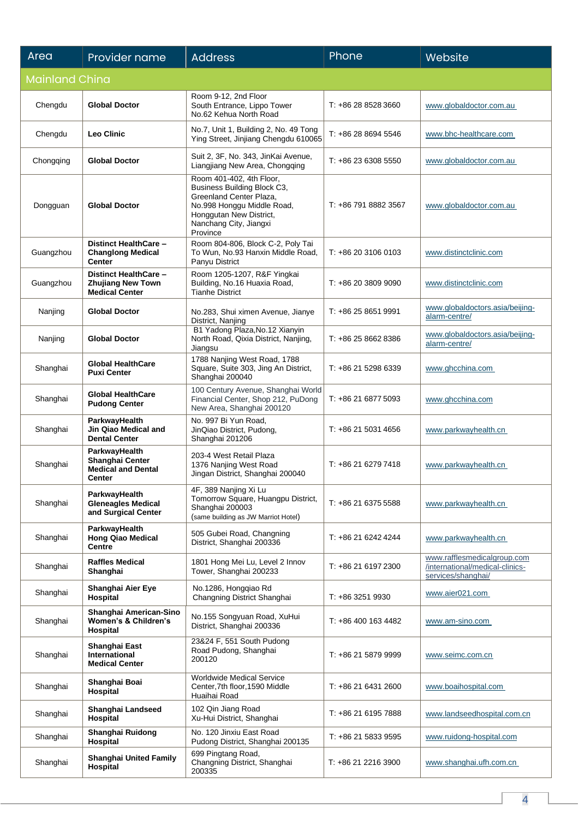| Area                  | Provider name                                                              | <b>Address</b>                                                                                                                                                                    | Phone                | Website                                                                              |
|-----------------------|----------------------------------------------------------------------------|-----------------------------------------------------------------------------------------------------------------------------------------------------------------------------------|----------------------|--------------------------------------------------------------------------------------|
| <b>Mainland China</b> |                                                                            |                                                                                                                                                                                   |                      |                                                                                      |
| Chengdu               | <b>Global Doctor</b>                                                       | Room 9-12, 2nd Floor<br>South Entrance, Lippo Tower<br>No.62 Kehua North Road                                                                                                     | T: +86 28 8528 3660  | www.globaldoctor.com.au                                                              |
| Chengdu               | <b>Leo Clinic</b>                                                          | No.7, Unit 1, Building 2, No. 49 Tong<br>Ying Street, Jinjiang Chengdu 610065                                                                                                     | T: +86 28 8694 5546  | www.bhc-healthcare.com                                                               |
| Chongqing             | <b>Global Doctor</b>                                                       | Suit 2, 3F, No. 343, JinKai Avenue,<br>Liangjiang New Area, Chongqing                                                                                                             | T: +86 23 6308 5550  | www.globaldoctor.com.au                                                              |
| Dongguan              | <b>Global Doctor</b>                                                       | Room 401-402, 4th Floor,<br>Business Building Block C3,<br>Greenland Center Plaza,<br>No.998 Honggu Middle Road,<br>Honggutan New District,<br>Nanchang City, Jiangxi<br>Province | T: +86 791 8882 3567 | www.globaldoctor.com.au                                                              |
| Guangzhou             | Distinct HealthCare -<br><b>Changlong Medical</b><br><b>Center</b>         | Room 804-806, Block C-2, Poly Tai<br>To Wun, No.93 Hanxin Middle Road,<br>Panyu District                                                                                          | T: +86 20 3106 0103  | www.distinctclinic.com                                                               |
| Guangzhou             | Distinct HealthCare -<br><b>Zhujiang New Town</b><br><b>Medical Center</b> | Room 1205-1207, R&F Yingkai<br>Building, No.16 Huaxia Road,<br><b>Tianhe District</b>                                                                                             | T: +86 20 3809 9090  | www.distinctclinic.com                                                               |
| Nanjing               | <b>Global Doctor</b>                                                       | No.283, Shui ximen Avenue, Jianye<br>District, Nanjing                                                                                                                            | $T: +862586519991$   | www.globaldoctors.asia/beijing-<br>alarm-centre/                                     |
| Nanjing               | <b>Global Doctor</b>                                                       | B1 Yadong Plaza, No.12 Xianyin<br>North Road, Qixia District, Nanjing,<br>Jiangsu                                                                                                 | T: +86 25 8662 8386  | www.globaldoctors.asia/beijing-<br>alarm-centre/                                     |
| Shanghai              | <b>Global HealthCare</b><br><b>Puxi Center</b>                             | 1788 Nanjing West Road, 1788<br>Square, Suite 303, Jing An District,<br>Shanghai 200040                                                                                           | T: +86 21 5298 6339  | www.ghcchina.com                                                                     |
| Shanghai              | <b>Global HealthCare</b><br><b>Pudong Center</b>                           | 100 Century Avenue, Shanghai World<br>Financial Center, Shop 212, PuDong<br>New Area, Shanghai 200120                                                                             | T: +86 21 6877 5093  | www.ghcchina.com                                                                     |
| Shanghai              | ParkwayHealth<br>Jin Qiao Medical and<br><b>Dental Center</b>              | No. 997 Bi Yun Road,<br>JinQiao District, Pudong,<br>Shanghai 201206                                                                                                              | T: +86 21 5031 4656  | www.parkwayhealth.cn                                                                 |
| Shanghai              | ParkwayHealth<br>Shanghai Center<br><b>Medical and Dental</b><br>Center    | 203-4 West Retail Plaza<br>1376 Nanjing West Road<br>Jingan District, Shanghai 200040                                                                                             | T: +86 21 6279 7418  | www.parkwayhealth.cn                                                                 |
| Shanghai              | ParkwayHealth<br><b>Gleneagles Medical</b><br>and Surgical Center          | 4F, 389 Nanjing Xi Lu<br>Tomorrow Square, Huangpu District,<br>Shanghai 200003<br>(same building as JW Marriot Hotel)                                                             | T: +86 21 6375 5588  | www.parkwayhealth.cn                                                                 |
| Shanghai              | ParkwayHealth<br><b>Hong Qiao Medical</b><br><b>Centre</b>                 | 505 Gubei Road, Changning<br>District, Shanghai 200336                                                                                                                            | $T: +862162424244$   | www.parkwayhealth.cn                                                                 |
| Shanghai              | <b>Raffles Medical</b><br>Shanghai                                         | 1801 Hong Mei Lu, Level 2 Innov<br>Tower, Shanghai 200233                                                                                                                         | T: +86 21 6197 2300  | www.rafflesmedicalgroup.com<br>/international/medical-clinics-<br>services/shanghai/ |
| Shanghai              | Shanghai Aier Eye<br>Hospital                                              | No.1286, Hongqiao Rd<br>Changning District Shanghai                                                                                                                               | $T: +8632519930$     | www.aier021.com                                                                      |
| Shanghai              | Shanghai American-Sino<br>Women's & Children's<br>Hospital                 | No.155 Songyuan Road, XuHui<br>District, Shanghai 200336                                                                                                                          | $T: +864001634482$   | www.am-sino.com                                                                      |
| Shanghai              | Shanghai East<br><b>International</b><br><b>Medical Center</b>             | 23&24 F, 551 South Pudong<br>Road Pudong, Shanghai<br>200120                                                                                                                      | T: +86 21 5879 9999  | www.seimc.com.cn                                                                     |
| Shanghai              | Shanghai Boai<br>Hospital                                                  | <b>Worldwide Medical Service</b><br>Center, 7th floor, 1590 Middle<br>Huaihai Road                                                                                                | T: +86 21 6431 2600  | www.boaihospital.com                                                                 |
| Shanghai              | Shanghai Landseed<br>Hospital                                              | 102 Qin Jiang Road<br>Xu-Hui District, Shanghai                                                                                                                                   | T: +86 21 6195 7888  | www.landseedhospital.com.cn                                                          |
| Shanghai              | Shanghai Ruidong<br>Hospital                                               | No. 120 Jinxiu East Road<br>Pudong District, Shanghai 200135                                                                                                                      | T: +86 21 5833 9595  | www.ruidong-hospital.com                                                             |
| Shanghai              | <b>Shanghai United Family</b><br>Hospital                                  | 699 Pingtang Road,<br>Changning District, Shanghai<br>200335                                                                                                                      | T: +86 21 2216 3900  | www.shanghai.ufh.com.cn                                                              |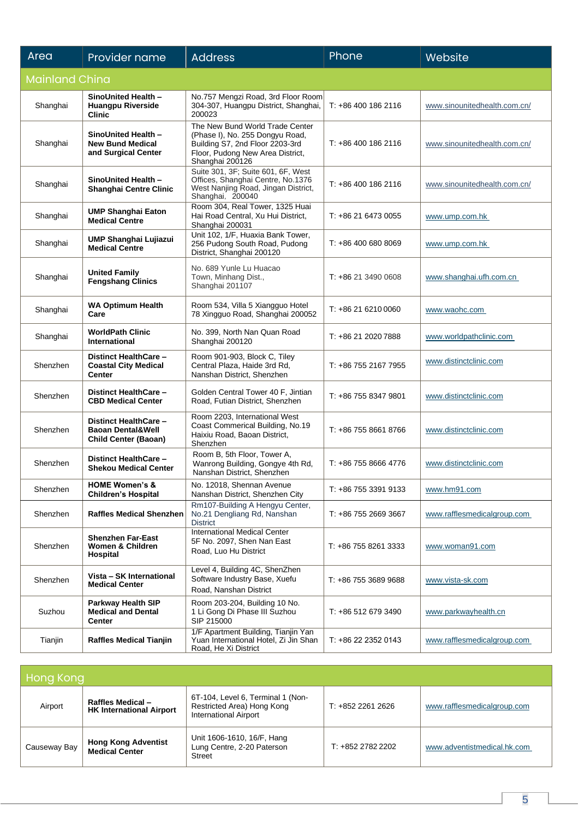| Area                  | Provider name                                                                        | <b>Address</b>                                                                                                                                               | Phone                | Website                      |
|-----------------------|--------------------------------------------------------------------------------------|--------------------------------------------------------------------------------------------------------------------------------------------------------------|----------------------|------------------------------|
| <b>Mainland China</b> |                                                                                      |                                                                                                                                                              |                      |                              |
| Shanghai              | SinoUnited Health -<br><b>Huangpu Riverside</b><br><b>Clinic</b>                     | No.757 Mengzi Road, 3rd Floor Room<br>304-307, Huangpu District, Shanghai,<br>200023                                                                         | T: +86 400 186 2116  | www.sinounitedhealth.com.cn/ |
| Shanghai              | SinoUnited Health -<br><b>New Bund Medical</b><br>and Surgical Center                | The New Bund World Trade Center<br>(Phase I), No. 255 Dongyu Road,<br>Building S7, 2nd Floor 2203-3rd<br>Floor, Pudong New Area District,<br>Shanghai 200126 | T: +86 400 186 2116  | www.sinounitedhealth.com.cn/ |
| Shanghai              | SinoUnited Health -<br>Shanghai Centre Clinic                                        | Suite 301, 3F; Suite 601, 6F, West<br>Offices, Shanghai Centre, No.1376<br>West Nanjing Road, Jingan District,<br>Shanghai, 200040                           | T: +86 400 186 2116  | www.sinounitedhealth.com.cn/ |
| Shanghai              | <b>UMP Shanghai Eaton</b><br><b>Medical Centre</b>                                   | Room 304, Real Tower, 1325 Huai<br>Hai Road Central, Xu Hui District,<br>Shanghai 200031                                                                     | T: +86 21 6473 0055  | www.ump.com.hk               |
| Shanghai              | <b>UMP Shanghai Lujiazui</b><br><b>Medical Centre</b>                                | Unit 102, 1/F, Huaxia Bank Tower,<br>256 Pudong South Road, Pudong<br>District, Shanghai 200120                                                              | T: +86 400 680 8069  | www.ump.com.hk               |
| Shanghai              | <b>United Family</b><br><b>Fengshang Clinics</b>                                     | No. 689 Yunle Lu Huacao<br>Town, Minhang Dist.,<br>Shanghai 201107                                                                                           | $T: +862134900608$   | www.shanghai.ufh.com.cn      |
| Shanghai              | <b>WA Optimum Health</b><br>Care                                                     | Room 534, Villa 5 Xiangguo Hotel<br>78 Xingguo Road, Shanghai 200052                                                                                         | T: +86 21 6210 0060  | www.waohc.com                |
| Shanghai              | <b>WorldPath Clinic</b><br><b>International</b>                                      | No. 399, North Nan Quan Road<br>Shanghai 200120                                                                                                              | T: +86 21 2020 7888  | www.worldpathclinic.com      |
| Shenzhen              | Distinct HealthCare -<br><b>Coastal City Medical</b><br><b>Center</b>                | Room 901-903, Block C, Tiley<br>Central Plaza, Haide 3rd Rd,<br>Nanshan District, Shenzhen                                                                   | T: +86 755 2167 7955 | www.distinctclinic.com       |
| Shenzhen              | Distinct HealthCare -<br><b>CBD Medical Center</b>                                   | Golden Central Tower 40 F, Jintian<br>Road, Futian District, Shenzhen                                                                                        | T: +86 755 8347 9801 | www.distinctclinic.com       |
| Shenzhen              | Distinct HealthCare -<br><b>Baoan Dental&amp;Well</b><br><b>Child Center (Baoan)</b> | Room 2203, International West<br>Coast Commerical Building, No.19<br>Haixiu Road, Baoan District,<br>Shenzhen                                                | T: +86 755 8661 8766 | www.distinctclinic.com       |
| Shenzhen              | <b>Distinct HealthCare -</b><br><b>Shekou Medical Center</b>                         | Room B, 5th Floor, Tower A,<br>Wanrong Building, Gongye 4th Rd,<br>Nanshan District, Shenzhen                                                                | T: +86 755 8666 4776 | www.distinctclinic.com       |
| Shenzhen              | <b>HOME Women's &amp;</b><br><b>Children's Hospital</b>                              | No. 12018, Shennan Avenue<br>Nanshan District, Shenzhen City                                                                                                 | T: +86 755 3391 9133 | www.hm91.com                 |
| Shenzhen              | <b>Raffles Medical Shenzhen</b>                                                      | Rm107-Building A Hengyu Center,<br>No.21 Dengliang Rd, Nanshan<br><b>District</b>                                                                            | T: +86 755 2669 3667 | www.rafflesmedicalgroup.com  |
| Shenzhen              | <b>Shenzhen Far-East</b><br>Women & Children<br>Hospital                             | <b>International Medical Center</b><br>5F No. 2097, Shen Nan East<br>Road, Luo Hu District                                                                   | T: +86 755 8261 3333 | www.woman91.com              |
| Shenzhen              | Vista - SK International<br><b>Medical Center</b>                                    | Level 4, Building 4C, ShenZhen<br>Software Industry Base, Xuefu<br>Road, Nanshan District                                                                    | T: +86 755 3689 9688 | www.vista-sk.com             |
| Suzhou                | <b>Parkway Health SIP</b><br><b>Medical and Dental</b><br><b>Center</b>              | Room 203-204, Building 10 No.<br>1 Li Gong Di Phase III Suzhou<br>SIP 215000                                                                                 | T: +86 512 679 3490  | www.parkwayhealth.cn         |
| Tianjin               | <b>Raffles Medical Tianjin</b>                                                       | 1/F Apartment Building, Tianjin Yan<br>Yuan International Hotel, Zi Jin Shan<br>Road, He Xi District                                                         | T: +86 22 2352 0143  | www.rafflesmedicalgroup.com  |

| Hong Kong    |                                                             |                                                                                                 |                   |                             |
|--------------|-------------------------------------------------------------|-------------------------------------------------------------------------------------------------|-------------------|-----------------------------|
| Airport      | <b>Raffles Medical -</b><br><b>HK International Airport</b> | 6T-104, Level 6, Terminal 1 (Non-<br>Restricted Area) Hong Kong<br><b>International Airport</b> | $T: +85222612626$ | www.rafflesmedicalgroup.com |
| Causeway Bay | <b>Hong Kong Adventist</b><br><b>Medical Center</b>         | Unit 1606-1610, 16/F, Hang<br>Lung Centre, 2-20 Paterson<br>Street                              | $T: +85227822202$ | www.adventistmedical.hk.com |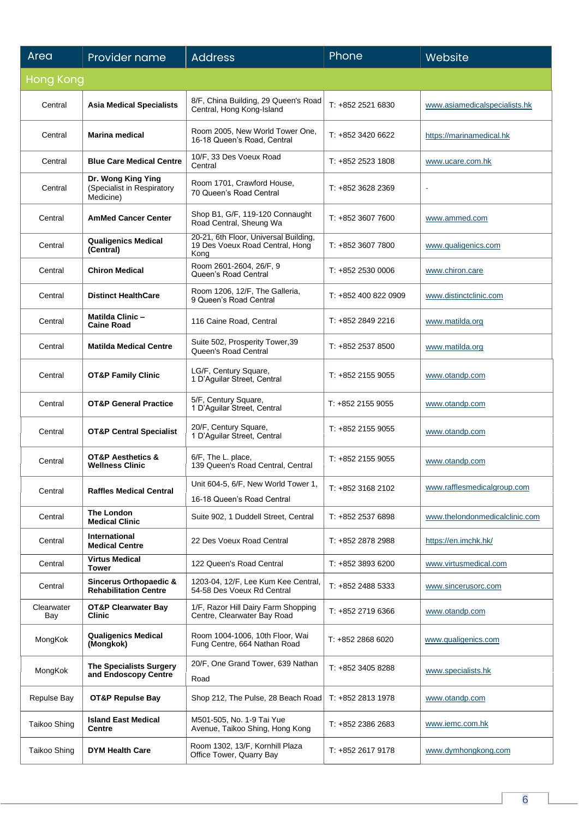| Area                | Provider name                                                 | <b>Address</b>                                                                   | Phone               | Website                        |
|---------------------|---------------------------------------------------------------|----------------------------------------------------------------------------------|---------------------|--------------------------------|
| <b>Hong Kong</b>    |                                                               |                                                                                  |                     |                                |
| Central             | <b>Asia Medical Specialists</b>                               | 8/F, China Building, 29 Queen's Road<br>Central, Hong Kong-Island                | T: +852 2521 6830   | www.asiamedicalspecialists.hk  |
| Central             | <b>Marina medical</b>                                         | Room 2005, New World Tower One,<br>16-18 Queen's Road, Central                   | T: +852 3420 6622   | https://marinamedical.hk       |
| Central             | <b>Blue Care Medical Centre</b>                               | 10/F, 33 Des Voeux Road<br>Central                                               | $T: +85225231808$   | www.ucare.com.hk               |
| Central             | Dr. Wong King Ying<br>(Specialist in Respiratory<br>Medicine) | Room 1701, Crawford House,<br>70 Queen's Road Central                            | $T: +85236282369$   | ä,                             |
| Central             | <b>AmMed Cancer Center</b>                                    | Shop B1, G/F, 119-120 Connaught<br>Road Central, Sheung Wa                       | T: +852 3607 7600   | www.ammed.com                  |
| Central             | <b>Qualigenics Medical</b><br>(Central)                       | 20-21, 6th Floor, Universal Building,<br>19 Des Voeux Road Central, Hong<br>Kong | T: +852 3607 7800   | www.qualigenics.com            |
| Central             | <b>Chiron Medical</b>                                         | Room 2601-2604, 26/F, 9<br>Queen's Road Central                                  | $T: +85225300006$   | www.chiron.care                |
| Central             | <b>Distinct HealthCare</b>                                    | Room 1206, 12/F, The Galleria,<br>9 Queen's Road Central                         | $T: +8524008220909$ | www.distinctclinic.com         |
| Central             | <b>Matilda Clinic-</b><br><b>Caine Road</b>                   | 116 Caine Road, Central                                                          | T: +852 2849 2216   | www.matilda.org                |
| Central             | <b>Matilda Medical Centre</b>                                 | Suite 502, Prosperity Tower, 39<br>Queen's Road Central                          | T: +852 2537 8500   | www.matilda.org                |
| Central             | <b>OT&amp;P Family Clinic</b>                                 | LG/F, Century Square,<br>1 D'Aguilar Street, Central                             | $T: +85221559055$   | www.otandp.com                 |
| Central             | <b>OT&amp;P General Practice</b>                              | 5/F, Century Square,<br>1 D'Aguilar Street, Central                              | T: +852 2155 9055   | www.otandp.com                 |
| Central             | <b>OT&amp;P Central Specialist</b>                            | 20/F, Century Square,<br>1 D'Aguilar Street, Central                             | $T: +852$ 2155 9055 | www.otandp.com                 |
| Central             | <b>OT&amp;P Aesthetics &amp;</b><br><b>Wellness Clinic</b>    | 6/F, The L. place,<br>139 Queen's Road Central, Central                          | $T: +852$ 2155 9055 | www.otandp.com                 |
| Central             | <b>Raffles Medical Central</b>                                | Unit 604-5, 6/F, New World Tower 1,<br>16-18 Queen's Road Central                | T: +852 3168 2102   | www.rafflesmedicalgroup.com    |
| Central             | The London<br><b>Medical Clinic</b>                           | Suite 902, 1 Duddell Street, Central                                             | T: +852 2537 6898   | www.thelondonmedicalclinic.com |
| Central             | <b>International</b><br><b>Medical Centre</b>                 | 22 Des Voeux Road Central                                                        | T: +852 2878 2988   | https://en.imchk.hk/           |
| Central             | <b>Virtus Medical</b><br><b>Tower</b>                         | 122 Queen's Road Central                                                         | $T: +85238936200$   | www.virtusmedical.com          |
| Central             | Sincerus Orthopaedic &<br><b>Rehabilitation Centre</b>        | 1203-04, 12/F, Lee Kum Kee Central,<br>54-58 Des Voeux Rd Central                | $T: +85224885333$   | www.sincerusorc.com            |
| Clearwater<br>Bay   | <b>OT&amp;P Clearwater Bay</b><br>Clinic                      | 1/F, Razor Hill Dairy Farm Shopping<br>Centre, Clearwater Bay Road               | T: +852 2719 6366   | www.otandp.com                 |
| MongKok             | <b>Qualigenics Medical</b><br>(Mongkok)                       | Room 1004-1006, 10th Floor, Wai<br>Fung Centre, 664 Nathan Road                  | T: +852 2868 6020   | www.qualigenics.com            |
| MongKok             | <b>The Specialists Surgery</b><br>and Endoscopy Centre        | 20/F, One Grand Tower, 639 Nathan<br>Road                                        | T: +852 3405 8288   | www.specialists.hk             |
| Repulse Bay         | <b>OT&amp;P Repulse Bay</b>                                   | Shop 212, The Pulse, 28 Beach Road                                               | T: +852 2813 1978   | www.otandp.com                 |
| <b>Taikoo Shing</b> | <b>Island East Medical</b><br><b>Centre</b>                   | M501-505, No. 1-9 Tai Yue<br>Avenue, Taikoo Shing, Hong Kong                     | $T: +85223862683$   | www.iemc.com.hk                |
| Taikoo Shing        | <b>DYM Health Care</b>                                        | Room 1302, 13/F, Kornhill Plaza<br>Office Tower, Quarry Bay                      | T: +852 2617 9178   | www.dymhongkong.com            |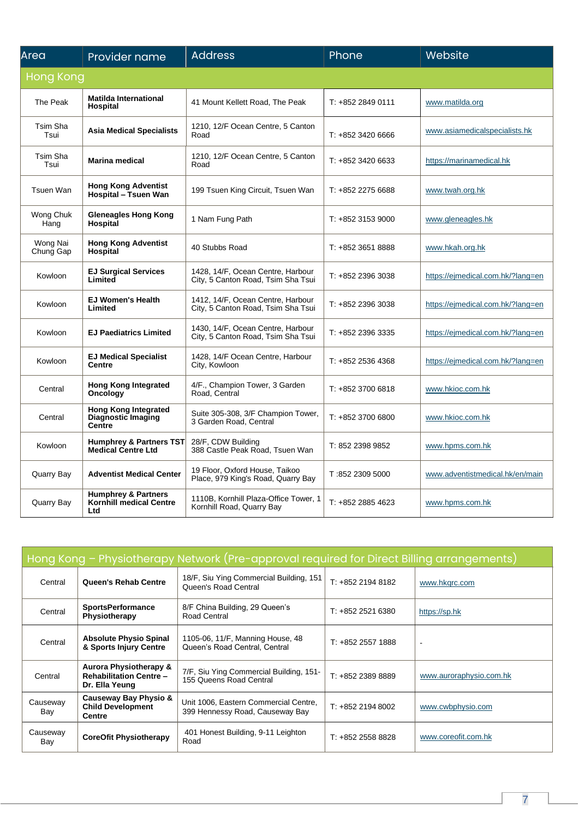| Area                  | Provider name                                                           | <b>Address</b>                                                          | Phone             | Website                           |
|-----------------------|-------------------------------------------------------------------------|-------------------------------------------------------------------------|-------------------|-----------------------------------|
| <b>Hong Kong</b>      |                                                                         |                                                                         |                   |                                   |
| The Peak              | Matilda International<br>Hospital                                       | 41 Mount Kellett Road, The Peak                                         | $T: +85228490111$ | www.matilda.org                   |
| Tsim Sha<br>Tsui      | <b>Asia Medical Specialists</b>                                         | 1210, 12/F Ocean Centre, 5 Canton<br>Road                               | T: +852 3420 6666 | www.asiamedicalspecialists.hk     |
| Tsim Sha<br>Tsui      | <b>Marina medical</b>                                                   | 1210, 12/F Ocean Centre, 5 Canton<br>Road                               | T: +852 3420 6633 | https://marinamedical.hk          |
| Tsuen Wan             | <b>Hong Kong Adventist</b><br>Hospital - Tsuen Wan                      | 199 Tsuen King Circuit, Tsuen Wan                                       | T: +852 2275 6688 | www.twah.org.hk                   |
| Wong Chuk<br>Hang     | <b>Gleneagles Hong Kong</b><br>Hospital                                 | 1 Nam Fung Path                                                         | T: +852 3153 9000 | www.gleneagles.hk                 |
| Wong Nai<br>Chung Gap | <b>Hong Kong Adventist</b><br>Hospital                                  | 40 Stubbs Road                                                          | T: +852 3651 8888 | www.hkah.org.hk                   |
| Kowloon               | <b>EJ Surgical Services</b><br>Limited                                  | 1428, 14/F, Ocean Centre, Harbour<br>City, 5 Canton Road, Tsim Sha Tsui | T: +852 2396 3038 | https://ejmedical.com.hk/?lang=en |
| Kowloon               | <b>EJ Women's Health</b><br>Limited                                     | 1412, 14/F, Ocean Centre, Harbour<br>City, 5 Canton Road, Tsim Sha Tsui | T: +852 2396 3038 | https://ejmedical.com.hk/?lang=en |
| Kowloon               | <b>EJ Paediatrics Limited</b>                                           | 1430, 14/F, Ocean Centre, Harbour<br>City, 5 Canton Road, Tsim Sha Tsui | T: +852 2396 3335 | https://ejmedical.com.hk/?lang=en |
| Kowloon               | <b>EJ Medical Specialist</b><br><b>Centre</b>                           | 1428, 14/F Ocean Centre, Harbour<br>City, Kowloon                       | T: +852 2536 4368 | https://ejmedical.com.hk/?lang=en |
| Central               | <b>Hong Kong Integrated</b><br>Oncology                                 | 4/F., Champion Tower, 3 Garden<br>Road, Central                         | T: +852 3700 6818 | www.hkioc.com.hk                  |
| Central               | <b>Hong Kong Integrated</b><br>Diagnostic Imaging<br>Centre             | Suite 305-308, 3/F Champion Tower,<br>3 Garden Road, Central            | T: +852 3700 6800 | www.hkioc.com.hk                  |
| Kowloon               | <b>Humphrey &amp; Partners TST</b><br><b>Medical Centre Ltd</b>         | 28/F, CDW Building<br>388 Castle Peak Road, Tsuen Wan                   | T: 852 2398 9852  | www.hpms.com.hk                   |
| Quarry Bay            | <b>Adventist Medical Center</b>                                         | 19 Floor, Oxford House, Taikoo<br>Place, 979 King's Road, Quarry Bay    | T:852 2309 5000   | www.adventistmedical.hk/en/main   |
| Quarry Bay            | <b>Humphrey &amp; Partners</b><br><b>Kornhill medical Centre</b><br>Ltd | 1110B, Kornhill Plaza-Office Tower, 1<br>Kornhill Road, Quarry Bay      | $T: +85228854623$ | www.hpms.com.hk                   |

| Hong Kong - Physiotherapy Network (Pre-approval required for Direct Billing arrangements) |                                                                                       |                                                                          |                   |                         |
|-------------------------------------------------------------------------------------------|---------------------------------------------------------------------------------------|--------------------------------------------------------------------------|-------------------|-------------------------|
| Central                                                                                   | Queen's Rehab Centre                                                                  | 18/F, Siu Ying Commercial Building, 151<br>Queen's Road Central          | $T: +85221948182$ | www.hkgrc.com           |
| Central                                                                                   | <b>SportsPerformance</b><br>Physiotherapy                                             | 8/F China Building, 29 Queen's<br>Road Central                           | $T: +85225216380$ | https://sp.hk           |
| Central                                                                                   | <b>Absolute Physio Spinal</b><br>& Sports Injury Centre                               | 1105-06, 11/F, Manning House, 48<br>Queen's Road Central, Central        | $T: +85225571888$ | $\sim$                  |
| Central                                                                                   | <b>Aurora Physiotherapy &amp;</b><br><b>Rehabilitation Centre -</b><br>Dr. Ella Yeung | 7/F, Siu Ying Commercial Building, 151-<br>155 Queens Road Central       | $T: +85223898889$ | www.auroraphysio.com.hk |
| Causeway<br>Bay                                                                           | Causeway Bay Physio &<br><b>Child Development</b><br>Centre                           | Unit 1006, Eastern Commercial Centre,<br>399 Hennessy Road, Causeway Bay | $T: +85221948002$ | www.cwbphysio.com       |
| Causeway<br>Bay                                                                           | <b>CoreOfit Physiotherapy</b>                                                         | 401 Honest Building, 9-11 Leighton<br>Road                               | $T: +85225588828$ | www.coreofit.com.hk     |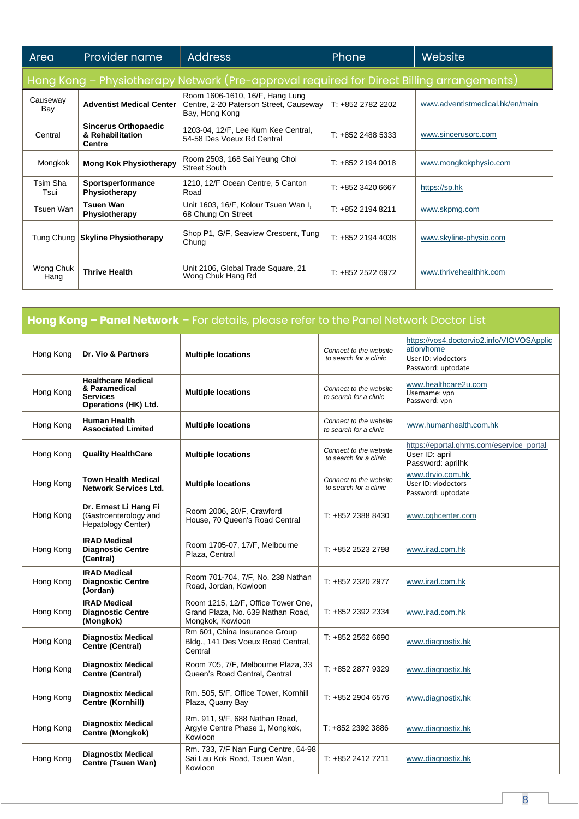| Area              | <b>Provider name</b>                                             | <b>Address</b>                                                                              | Phone             | Website                         |
|-------------------|------------------------------------------------------------------|---------------------------------------------------------------------------------------------|-------------------|---------------------------------|
|                   |                                                                  | Hong Kong - Physiotherapy Network (Pre-approval required for Direct Billing arrangements)   |                   |                                 |
| Causeway<br>Bay   | <b>Adventist Medical Center</b>                                  | Room 1606-1610, 16/F, Hang Lung<br>Centre, 2-20 Paterson Street, Causeway<br>Bay, Hong Kong | T: +852 2782 2202 | www.adventistmedical.hk/en/main |
| Central           | <b>Sincerus Orthopaedic</b><br>& Rehabilitation<br><b>Centre</b> | 1203-04, 12/F, Lee Kum Kee Central,<br>54-58 Des Voeux Rd Central                           | $T: +85224885333$ | www.sincerusorc.com             |
| Mongkok           | <b>Mong Kok Physiotherapy</b>                                    | Room 2503, 168 Sai Yeung Choi<br><b>Street South</b>                                        | $T: +85221940018$ | www.mongkokphysio.com           |
| Tsim Sha<br>Tsui  | Sportsperformance<br>Physiotherapy                               | 1210, 12/F Ocean Centre, 5 Canton<br>Road                                                   | $T: +85234206667$ | https://sp.hk                   |
| Tsuen Wan         | <b>Tsuen Wan</b><br>Physiotherapy                                | Unit 1603, 16/F, Kolour Tsuen Wan I,<br>68 Chung On Street                                  | $T: +85221948211$ | www.skpmg.com                   |
| Tung Chung        | <b>Skyline Physiotherapy</b>                                     | Shop P1, G/F, Seaview Crescent, Tung<br>Chung                                               | $T: +85221944038$ | www.skyline-physio.com          |
| Wong Chuk<br>Hang | <b>Thrive Health</b>                                             | Unit 2106, Global Trade Square, 21<br>Wong Chuk Hang Rd                                     | $T: +8522526972$  | www.thrivehealthhk.com          |

| <b>Hong Kong - Panel Network</b> - For details, please refer to the Panel Network Doctor List |                                                                                       |                                                                                             |                                                  |                                                                                                      |
|-----------------------------------------------------------------------------------------------|---------------------------------------------------------------------------------------|---------------------------------------------------------------------------------------------|--------------------------------------------------|------------------------------------------------------------------------------------------------------|
| Hong Kong                                                                                     | Dr. Vio & Partners                                                                    | <b>Multiple locations</b>                                                                   | Connect to the website<br>to search for a clinic | https://vos4.doctorvio2.info/VIOVOSApplic<br>ation/home<br>User ID: viodoctors<br>Password: uptodate |
| Hong Kong                                                                                     | <b>Healthcare Medical</b><br>& Paramedical<br><b>Services</b><br>Operations (HK) Ltd. | <b>Multiple locations</b>                                                                   | Connect to the website<br>to search for a clinic | www.healthcare2u.com<br>Username: vpn<br>Password: vpn                                               |
| Hong Kong                                                                                     | <b>Human Health</b><br><b>Associated Limited</b>                                      | <b>Multiple locations</b>                                                                   | Connect to the website<br>to search for a clinic | www.humanhealth.com.hk                                                                               |
| Hong Kong                                                                                     | <b>Quality HealthCare</b>                                                             | <b>Multiple locations</b>                                                                   | Connect to the website<br>to search for a clinic | https://eportal.ghms.com/eservice_portal<br>User ID: april<br>Password: aprilhk                      |
| Hong Kong                                                                                     | <b>Town Health Medical</b><br><b>Network Services Ltd.</b>                            | <b>Multiple locations</b>                                                                   | Connect to the website<br>to search for a clinic | www.drvio.com.hk<br>User ID: viodoctors<br>Password: uptodate                                        |
| Hong Kong                                                                                     | Dr. Ernest Li Hang Fi<br>(Gastroenterology and<br>Hepatology Center)                  | Room 2006, 20/F, Crawford<br>House, 70 Queen's Road Central                                 | T: +852 2388 8430                                | www.cghcenter.com                                                                                    |
| Hong Kong                                                                                     | <b>IRAD Medical</b><br><b>Diagnostic Centre</b><br>(Central)                          | Room 1705-07, 17/F, Melbourne<br>Plaza, Central                                             | T: +852 2523 2798                                | www.irad.com.hk                                                                                      |
| Hong Kong                                                                                     | <b>IRAD Medical</b><br><b>Diagnostic Centre</b><br>(Jordan)                           | Room 701-704, 7/F, No. 238 Nathan<br>Road, Jordan, Kowloon                                  | T: +852 2320 2977                                | www.irad.com.hk                                                                                      |
| Hong Kong                                                                                     | <b>IRAD Medical</b><br><b>Diagnostic Centre</b><br>(Mongkok)                          | Room 1215, 12/F, Office Tower One,<br>Grand Plaza, No. 639 Nathan Road,<br>Mongkok, Kowloon | T: +852 2392 2334                                | www.irad.com.hk                                                                                      |
| Hong Kong                                                                                     | <b>Diagnostix Medical</b><br>Centre (Central)                                         | Rm 601, China Insurance Group<br>Bldg., 141 Des Voeux Road Central,<br>Central              | T: +852 2562 6690                                | www.diagnostix.hk                                                                                    |
| Hong Kong                                                                                     | <b>Diagnostix Medical</b><br>Centre (Central)                                         | Room 705, 7/F, Melbourne Plaza, 33<br>Queen's Road Central, Central                         | T: +852 2877 9329                                | www.diagnostix.hk                                                                                    |
| Hong Kong                                                                                     | <b>Diagnostix Medical</b><br>Centre (Kornhill)                                        | Rm. 505, 5/F, Office Tower, Kornhill<br>Plaza, Quarry Bay                                   | T: +852 2904 6576                                | www.diagnostix.hk                                                                                    |
| Hong Kong                                                                                     | <b>Diagnostix Medical</b><br>Centre (Mongkok)                                         | Rm. 911, 9/F, 688 Nathan Road,<br>Argyle Centre Phase 1, Mongkok,<br>Kowloon                | T: +852 2392 3886                                | www.diagnostix.hk                                                                                    |
| Hong Kong                                                                                     | <b>Diagnostix Medical</b><br>Centre (Tsuen Wan)                                       | Rm. 733, 7/F Nan Fung Centre, 64-98<br>Sai Lau Kok Road, Tsuen Wan,<br>Kowloon              | T: +852 2412 7211                                | www.diagnostix.hk                                                                                    |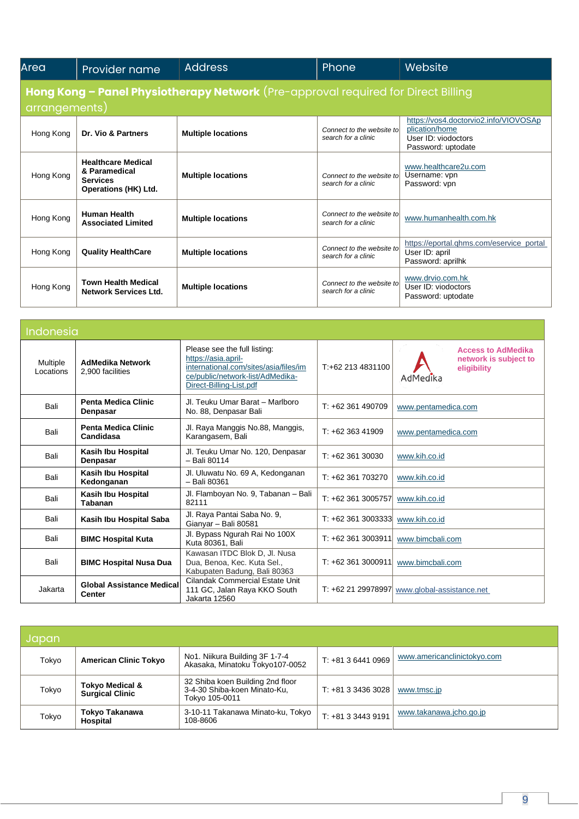| Area                                                                                               | Provider name                                                                         | <b>Address</b>            | Phone                                            | Website                                                                                              |  |
|----------------------------------------------------------------------------------------------------|---------------------------------------------------------------------------------------|---------------------------|--------------------------------------------------|------------------------------------------------------------------------------------------------------|--|
| Hong Kong - Panel Physiotherapy Network (Pre-approval required for Direct Billing<br>arrangements) |                                                                                       |                           |                                                  |                                                                                                      |  |
| Hong Kong                                                                                          | Dr. Vio & Partners                                                                    | <b>Multiple locations</b> | Connect to the website to<br>search for a clinic | https://vos4.doctorvio2.info/VIOVOSAp<br>plication/home<br>User ID: viodoctors<br>Password: uptodate |  |
| Hong Kong                                                                                          | <b>Healthcare Medical</b><br>& Paramedical<br><b>Services</b><br>Operations (HK) Ltd. | <b>Multiple locations</b> | Connect to the website to<br>search for a clinic | www.healthcare2u.com<br>Username: vpn<br>Password: vpn                                               |  |
| Hong Kong                                                                                          | <b>Human Health</b><br><b>Associated Limited</b>                                      | <b>Multiple locations</b> | Connect to the website to<br>search for a clinic | www.humanhealth.com.hk                                                                               |  |
| Hong Kong                                                                                          | <b>Quality HealthCare</b>                                                             | <b>Multiple locations</b> | Connect to the website to<br>search for a clinic | https://eportal.ghms.com/eservice_portal<br>User ID: april<br>Password: aprilhk                      |  |
| Hong Kong                                                                                          | <b>Town Health Medical</b><br><b>Network Services Ltd.</b>                            | <b>Multiple locations</b> | Connect to the website to<br>search for a clinic | www.drvio.com.hk<br>User ID: viodoctors<br>Password: uptodate                                        |  |

| Indonesia                    |                                                   |                                                                                                                                                             |                    |                                                                               |
|------------------------------|---------------------------------------------------|-------------------------------------------------------------------------------------------------------------------------------------------------------------|--------------------|-------------------------------------------------------------------------------|
| <b>Multiple</b><br>Locations | <b>AdMedika Network</b><br>2,900 facilities       | Please see the full listing:<br>https://asia.april-<br>international.com/sites/asia/files/im<br>ce/public/network-list/AdMedika-<br>Direct-Billing-List.pdf | T:+62 213 4831100  | <b>Access to AdMedika</b><br>network is subject to<br>eligibility<br>AdMedika |
| Bali                         | <b>Penta Medica Clinic</b><br>Denpasar            | Jl. Teuku Umar Barat - Marlboro<br>No. 88, Denpasar Bali                                                                                                    | $T: +62361490709$  | www.pentamedica.com                                                           |
| Bali                         | <b>Penta Medica Clinic</b><br>Candidasa           | Jl. Raya Manggis No.88, Manggis,<br>Karangasem, Bali                                                                                                        | $T: +6236341909$   | www.pentamedica.com                                                           |
| Bali                         | Kasih Ibu Hospital<br>Denpasar                    | Jl. Teuku Umar No. 120, Denpasar<br>- Bali 80114                                                                                                            | $T: +6236130030$   | www.kih.co.id                                                                 |
| Bali                         | Kasih Ibu Hospital<br>Kedonganan                  | Jl. Uluwatu No. 69 A, Kedonganan<br>- Bali 80361                                                                                                            | $T: +62361703270$  | www.kih.co.id                                                                 |
| Bali                         | Kasih Ibu Hospital<br>Tabanan                     | Jl. Flamboyan No. 9, Tabanan - Bali<br>82111                                                                                                                | $T: +623613005757$ | www.kih.co.id                                                                 |
| Bali                         | Kasih Ibu Hospital Saba                           | Jl. Raya Pantai Saba No. 9,<br>Gianyar - Bali 80581                                                                                                         | T: +62 361 3003333 | www.kih.co.id                                                                 |
| Bali                         | <b>BIMC Hospital Kuta</b>                         | Jl. Bypass Ngurah Rai No 100X<br>Kuta 80361, Bali                                                                                                           | $T: +623613003911$ | www.bimcbali.com                                                              |
| Bali                         | <b>BIMC Hospital Nusa Dua</b>                     | Kawasan ITDC Blok D, Jl. Nusa<br>Dua, Benoa, Kec. Kuta Sel.,<br>Kabupaten Badung, Bali 80363                                                                | $T: +623613000911$ | www.bimcbali.com                                                              |
| Jakarta                      | <b>Global Assistance Medical</b><br><b>Center</b> | Cilandak Commercial Estate Unit<br>111 GC, Jalan Raya KKO South<br>Jakarta 12560                                                                            |                    | T: +62 21 29978997 www.global-assistance.net                                  |

| Japan |                                                      |                                                                                    |                    |                             |
|-------|------------------------------------------------------|------------------------------------------------------------------------------------|--------------------|-----------------------------|
| Tokyo | <b>American Clinic Tokyo</b>                         | No1. Niikura Building 3F 1-7-4<br>Akasaka, Minatoku Tokyo107-0052                  | T: +81 3 6441 0969 | www.americanclinictokyo.com |
| Tokyo | <b>Tokyo Medical &amp;</b><br><b>Surgical Clinic</b> | 32 Shiba koen Building 2nd floor<br>3-4-30 Shiba-koen Minato-Ku,<br>Tokyo 105-0011 | $T: +81334363028$  | www.tmsc.jp                 |
| Tokyo | Tokyo Takanawa<br>Hospital                           | 3-10-11 Takanawa Minato-ku, Tokyo<br>108-8606                                      | $T: +81334439191$  | www.takanawa.jcho.go.jp     |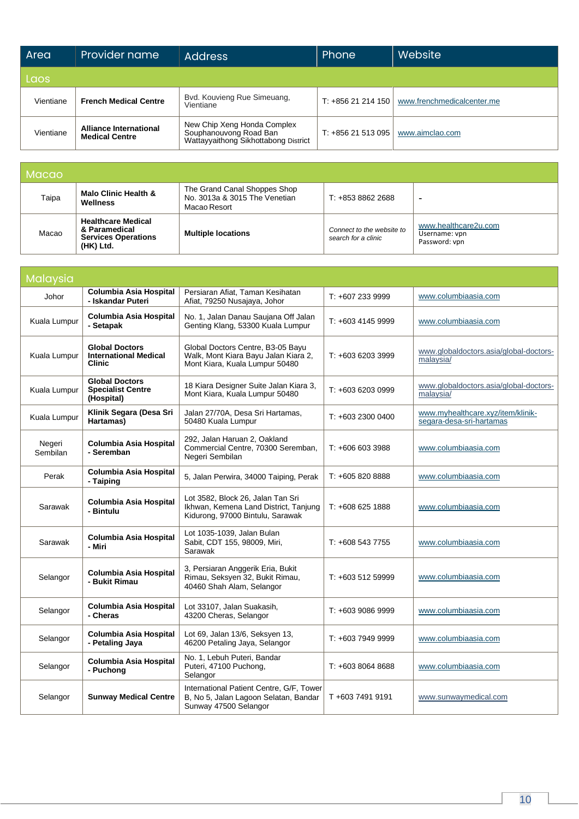| Area      | Provider name                                          | <b>Address</b>                                                                                | <b>Phone</b>      | Website                    |
|-----------|--------------------------------------------------------|-----------------------------------------------------------------------------------------------|-------------------|----------------------------|
| lLaos,    |                                                        |                                                                                               |                   |                            |
| Vientiane | <b>French Medical Centre</b>                           | Bvd. Kouvieng Rue Simeuang,<br>Vientiane                                                      | $T: +85621214150$ | www.frenchmedicalcenter.me |
| Vientiane | <b>Alliance International</b><br><b>Medical Centre</b> | New Chip Xeng Honda Complex<br>Souphanouvong Road Ban<br>Wattayyaithong Sikhottabong District | T: $+85621513095$ | www.aimclao.com            |

| Macao |                                                                                       |                                                                               |                                                  |                                                        |
|-------|---------------------------------------------------------------------------------------|-------------------------------------------------------------------------------|--------------------------------------------------|--------------------------------------------------------|
| Taipa | Malo Clinic Health &<br>Wellness                                                      | The Grand Canal Shoppes Shop<br>No. 3013a & 3015 The Venetian<br>Macao Resort | $T: +8538622688$                                 | -                                                      |
| Macao | <b>Healthcare Medical</b><br>& Paramedical<br><b>Services Operations</b><br>(HK) Ltd. | <b>Multiple locations</b>                                                     | Connect to the website to<br>search for a clinic | www.healthcare2u.com<br>Username: vpn<br>Password: vpn |

| Malaysia           |                                                                        |                                                                                                                |                   |                                                               |
|--------------------|------------------------------------------------------------------------|----------------------------------------------------------------------------------------------------------------|-------------------|---------------------------------------------------------------|
| Johor              | Columbia Asia Hospital<br>- Iskandar Puteri                            | Persiaran Afiat, Taman Kesihatan<br>Afiat, 79250 Nusajaya, Johor                                               | $T: +6072339999$  | www.columbiaasia.com                                          |
| Kuala Lumpur       | Columbia Asia Hospital<br>- Setapak                                    | No. 1, Jalan Danau Saujana Off Jalan<br>Genting Klang, 53300 Kuala Lumpur                                      | $T: +60341459999$ | www.columbiaasia.com                                          |
| Kuala Lumpur       | <b>Global Doctors</b><br><b>International Medical</b><br><b>Clinic</b> | Global Doctors Centre, B3-05 Bayu<br>Walk, Mont Kiara Bayu Jalan Kiara 2,<br>Mont Kiara, Kuala Lumpur 50480    | T: +603 6203 3999 | www.globaldoctors.asia/global-doctors-<br>malaysia/           |
| Kuala Lumpur       | <b>Global Doctors</b><br><b>Specialist Centre</b><br>(Hospital)        | 18 Kiara Designer Suite Jalan Kiara 3,<br>Mont Kiara, Kuala Lumpur 50480                                       | T: +603 6203 0999 | www.globaldoctors.asia/global-doctors-<br>malaysia/           |
| Kuala Lumpur       | Klinik Segara (Desa Sri<br>Hartamas)                                   | Jalan 27/70A, Desa Sri Hartamas,<br>50480 Kuala Lumpur                                                         | $T: +60323000400$ | www.myhealthcare.xyz/item/klinik-<br>segara-desa-sri-hartamas |
| Negeri<br>Sembilan | <b>Columbia Asia Hospital</b><br>- Seremban                            | 292, Jalan Haruan 2, Oakland<br>Commercial Centre, 70300 Seremban,<br>Negeri Sembilan                          | $T: +6066033988$  | www.columbiaasia.com                                          |
| Perak              | Columbia Asia Hospital<br>- Taiping                                    | 5, Jalan Perwira, 34000 Taiping, Perak                                                                         | T: +605 820 8888  | www.columbiaasia.com                                          |
| Sarawak            | <b>Columbia Asia Hospital</b><br>- Bintulu                             | Lot 3582, Block 26, Jalan Tan Sri<br>Ikhwan, Kemena Land District, Tanjung<br>Kidurong, 97000 Bintulu, Sarawak | $T: +6086251888$  | www.columbiaasia.com                                          |
| Sarawak            | Columbia Asia Hospital<br>- Miri                                       | Lot 1035-1039, Jalan Bulan<br>Sabit, CDT 155, 98009, Miri,<br>Sarawak                                          | $T: +6085437755$  | www.columbiaasia.com                                          |
| Selangor           | <b>Columbia Asia Hospital</b><br>- Bukit Rimau                         | 3, Persiaran Anggerik Eria, Bukit<br>Rimau, Seksyen 32, Bukit Rimau,<br>40460 Shah Alam, Selangor              | $T: +60351259999$ | www.columbiaasia.com                                          |
| Selangor           | Columbia Asia Hospital<br>- Cheras                                     | Lot 33107, Jalan Suakasih,<br>43200 Cheras, Selangor                                                           | $T: +60390869999$ | www.columbiaasia.com                                          |
| Selangor           | Columbia Asia Hospital<br>- Petaling Jaya                              | Lot 69, Jalan 13/6, Seksyen 13,<br>46200 Petaling Jaya, Selangor                                               | $T: +60379499999$ | www.columbiaasia.com                                          |
| Selangor           | <b>Columbia Asia Hospital</b><br>- Puchong                             | No. 1, Lebuh Puteri, Bandar<br>Puteri, 47100 Puchong,<br>Selangor                                              | $T: +60380648688$ | www.columbiaasia.com                                          |
| Selangor           | <b>Sunway Medical Centre</b>                                           | International Patient Centre, G/F, Tower<br>B, No 5, Jalan Lagoon Selatan, Bandar<br>Sunway 47500 Selangor     | T+603 7491 9191   | www.sunwaymedical.com                                         |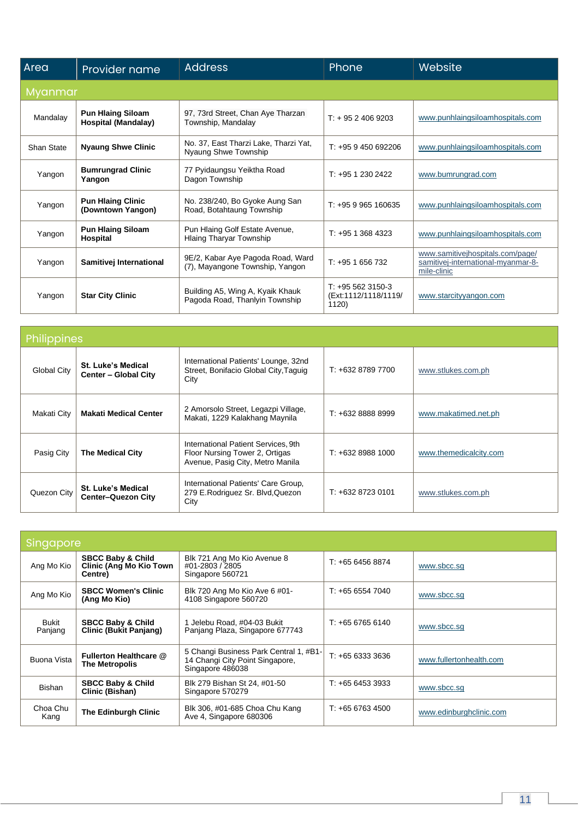| Area       | Provider name                                          | <b>Address</b>                                                       | Phone                                              | <b>Website</b>                                                                        |  |  |  |
|------------|--------------------------------------------------------|----------------------------------------------------------------------|----------------------------------------------------|---------------------------------------------------------------------------------------|--|--|--|
|            | Myanmar                                                |                                                                      |                                                    |                                                                                       |  |  |  |
| Mandalay   | <b>Pun Hlaing Siloam</b><br><b>Hospital (Mandalay)</b> | 97, 73rd Street, Chan Aye Tharzan<br>Township, Mandalay              | $T: +9524069203$                                   | www.punhlaingsiloamhospitals.com                                                      |  |  |  |
| Shan State | <b>Nyaung Shwe Clinic</b>                              | No. 37, East Tharzi Lake, Tharzi Yat,<br>Nyaung Shwe Township        | $T: +959450692206$                                 | www.punhlaingsiloamhospitals.com                                                      |  |  |  |
| Yangon     | <b>Bumrungrad Clinic</b><br>Yangon                     | 77 Pyidaungsu Yeiktha Road<br>Dagon Township                         | $T: +9512302422$                                   | www.bumrungrad.com                                                                    |  |  |  |
| Yangon     | <b>Pun Hlaing Clinic</b><br>(Downtown Yangon)          | No. 238/240, Bo Gyoke Aung San<br>Road, Botahtaung Township          | $T: +959965160635$                                 | www.punhlaingsiloamhospitals.com                                                      |  |  |  |
| Yangon     | <b>Pun Hlaing Siloam</b><br>Hospital                   | Pun Hlaing Golf Estate Avenue,<br><b>Hlaing Tharyar Township</b>     | $T: +9513684323$                                   | www.punhlaingsiloamhospitals.com                                                      |  |  |  |
| Yangon     | Samitivej International                                | 9E/2, Kabar Aye Pagoda Road, Ward<br>(7), Mayangone Township, Yangon | $T: +951656732$                                    | www.samitivejhospitals.com/page/<br>samitivej-international-myanmar-8-<br>mile-clinic |  |  |  |
| Yangon     | <b>Star City Clinic</b>                                | Building A5, Wing A, Kyaik Khauk<br>Pagoda Road, Thanlyin Township   | $T: +955623150-3$<br>(Ext:1112/1118/1119/<br>1120) | www.starcityyangon.com                                                                |  |  |  |

| Philippines        |                                                        |                                                                                                           |                   |                        |
|--------------------|--------------------------------------------------------|-----------------------------------------------------------------------------------------------------------|-------------------|------------------------|
| <b>Global City</b> | <b>St. Luke's Medical</b><br>Center - Global City      | International Patients' Lounge, 32nd<br>Street, Bonifacio Global City, Taguig<br>City                     | T: +632 8789 7700 | www.stlukes.com.ph     |
| Makati City        | <b>Makati Medical Center</b>                           | 2 Amorsolo Street, Legazpi Village,<br>Makati, 1229 Kalakhang Maynila                                     | T: +632 8888 8999 | www.makatimed.net.ph   |
| Pasig City         | <b>The Medical City</b>                                | International Patient Services, 9th<br>Floor Nursing Tower 2, Ortigas<br>Avenue, Pasig City, Metro Manila | $T: +6328881000$  | www.themedicalcity.com |
| Quezon City        | <b>St. Luke's Medical</b><br><b>Center-Quezon City</b> | International Patients' Care Group,<br>279 E.Rodriguez Sr. Blvd, Quezon<br>City                           | T: +632 8723 0101 | www.stlukes.com.ph     |

| Singapore               |                                                                           |                                                                                               |                  |                         |
|-------------------------|---------------------------------------------------------------------------|-----------------------------------------------------------------------------------------------|------------------|-------------------------|
| Ang Mo Kio              | <b>SBCC Baby &amp; Child</b><br><b>Clinic (Ang Mo Kio Town</b><br>Centre) | Blk 721 Ang Mo Kio Avenue 8<br>#01-2803 / 2805<br>Singapore 560721                            | $T: +6564568874$ | www.sbcc.sg             |
| Ang Mo Kio              | <b>SBCC Women's Clinic</b><br>(Ang Mo Kio)                                | Blk 720 Ang Mo Kio Ave 6 #01-<br>4108 Singapore 560720                                        | $T: +6565547040$ | www.sbcc.sg             |
| <b>Bukit</b><br>Panjang | <b>SBCC Baby &amp; Child</b><br><b>Clinic (Bukit Panjang)</b>             | Jelebu Road, #04-03 Bukit<br>Panjang Plaza, Singapore 677743                                  | $T: +6567656140$ | www.sbcc.sg             |
| Buona Vista             | Fullerton Healthcare @<br><b>The Metropolis</b>                           | 5 Changi Business Park Central 1, #B1-<br>14 Changi City Point Singapore,<br>Singapore 486038 | $T: +6563333636$ | www.fullertonhealth.com |
| Bishan                  | <b>SBCC Baby &amp; Child</b><br>Clinic (Bishan)                           | Blk 279 Bishan St 24, #01-50<br>Singapore 570279                                              | $T: +6564533333$ | www.sbcc.sg             |
| Choa Chu<br>Kang        | <b>The Edinburgh Clinic</b>                                               | Blk 306, #01-685 Choa Chu Kang<br>Ave 4, Singapore 680306                                     | T: +65 6763 4500 | www.edinburghclinic.com |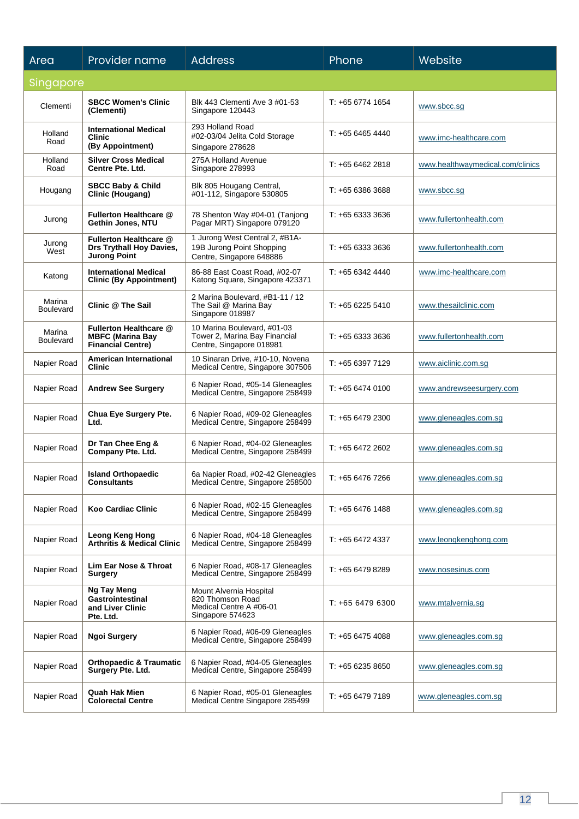| Area                       | Provider name                                                                  | <b>Address</b>                                                                             | Phone            | Website                          |  |  |
|----------------------------|--------------------------------------------------------------------------------|--------------------------------------------------------------------------------------------|------------------|----------------------------------|--|--|
|                            | Singapore                                                                      |                                                                                            |                  |                                  |  |  |
| Clementi                   | <b>SBCC Women's Clinic</b><br>(Clementi)                                       | Blk 443 Clementi Ave 3 #01-53<br>Singapore 120443                                          | T: +65 6774 1654 | www.sbcc.sg                      |  |  |
| Holland<br>Road            | <b>International Medical</b><br><b>Clinic</b><br>(By Appointment)              | 293 Holland Road<br>#02-03/04 Jelita Cold Storage<br>Singapore 278628                      | T: +65 6465 4440 | www.imc-healthcare.com           |  |  |
| Holland<br>Road            | <b>Silver Cross Medical</b><br>Centre Pte. Ltd.                                | 275A Holland Avenue<br>Singapore 278993                                                    | T: +65 6462 2818 | www.healthwaymedical.com/clinics |  |  |
| Hougang                    | <b>SBCC Baby &amp; Child</b><br>Clinic (Hougang)                               | Blk 805 Hougang Central,<br>#01-112, Singapore 530805                                      | $T: +656386368$  | www.sbcc.sg                      |  |  |
| Jurong                     | Fullerton Healthcare @<br>Gethin Jones, NTU                                    | 78 Shenton Way #04-01 (Tanjong<br>Pagar MRT) Singapore 079120                              | T: +65 6333 3636 | www.fullertonhealth.com          |  |  |
| Jurong<br>West             | Fullerton Healthcare @<br>Drs Trythall Hoy Davies,<br>Jurong Point             | 1 Jurong West Central 2, #B1A-<br>19B Jurong Point Shopping<br>Centre, Singapore 648886    | T: +65 6333 3636 | www.fullertonhealth.com          |  |  |
| Katong                     | <b>International Medical</b><br><b>Clinic (By Appointment)</b>                 | 86-88 East Coast Road, #02-07<br>Katong Square, Singapore 423371                           | $T: +6563424440$ | www.imc-healthcare.com           |  |  |
| Marina<br><b>Boulevard</b> | <b>Clinic @ The Sail</b>                                                       | 2 Marina Boulevard, #B1-11 / 12<br>The Sail @ Marina Bay<br>Singapore 018987               | T: +65 6225 5410 | www.thesailclinic.com            |  |  |
| Marina<br><b>Boulevard</b> | Fullerton Healthcare @<br><b>MBFC (Marina Bay</b><br><b>Financial Centre)</b>  | 10 Marina Boulevard, #01-03<br>Tower 2, Marina Bay Financial<br>Centre, Singapore 018981   | T: +65 6333 3636 | www.fullertonhealth.com          |  |  |
| Napier Road                | American International<br><b>Clinic</b>                                        | 10 Sinaran Drive, #10-10, Novena<br>Medical Centre, Singapore 307506                       | T: +65 6397 7129 | www.aiclinic.com.sg              |  |  |
| Napier Road                | <b>Andrew See Surgery</b>                                                      | 6 Napier Road, #05-14 Gleneagles<br>Medical Centre, Singapore 258499                       | T: +65 6474 0100 | www.andrewseesurgery.com         |  |  |
| Napier Road                | Chua Eye Surgery Pte.<br>Ltd.                                                  | 6 Napier Road, #09-02 Gleneagles<br>Medical Centre, Singapore 258499                       | T: +65 6479 2300 | www.gleneagles.com.sq            |  |  |
| Napier Road                | Dr Tan Chee Eng &<br>Company Pte. Ltd.                                         | 6 Napier Road, #04-02 Gleneagles<br>Medical Centre, Singapore 258499                       | T: +65 6472 2602 | www.gleneagles.com.sg            |  |  |
| Napier Road                | <b>Island Orthopaedic</b><br><b>Consultants</b>                                | 6a Napier Road, #02-42 Gleneagles<br>Medical Centre, Singapore 258500                      | T: +65 6476 7266 | www.gleneagles.com.sg            |  |  |
| Napier Road                | <b>Koo Cardiac Clinic</b>                                                      | 6 Napier Road, #02-15 Gleneagles<br>Medical Centre, Singapore 258499                       | T: +65 6476 1488 | www.gleneagles.com.sq            |  |  |
| Napier Road                | Leong Keng Hong<br>Arthritis & Medical Clinic                                  | 6 Napier Road, #04-18 Gleneagles<br>Medical Centre, Singapore 258499                       | T: +65 6472 4337 | www.leongkenghong.com            |  |  |
| Napier Road                | <b>Lim Ear Nose &amp; Throat</b><br><b>Surgery</b>                             | 6 Napier Road, #08-17 Gleneagles<br>Medical Centre, Singapore 258499                       | T: +65 6479 8289 | www.nosesinus.com                |  |  |
| Napier Road                | <b>Ng Tay Meng</b><br><b>Gastrointestinal</b><br>and Liver Clinic<br>Pte. Ltd. | Mount Alvernia Hospital<br>820 Thomson Road<br>Medical Centre A #06-01<br>Singapore 574623 | T: +65 6479 6300 | www.mtalvernia.sg                |  |  |
| Napier Road                | <b>Ngoi Surgery</b>                                                            | 6 Napier Road, #06-09 Gleneagles<br>Medical Centre, Singapore 258499                       | $T: +6564754088$ | www.gleneagles.com.sg            |  |  |
| Napier Road                | <b>Orthopaedic &amp; Traumatic</b><br>Surgery Pte. Ltd.                        | 6 Napier Road, #04-05 Gleneagles<br>Medical Centre, Singapore 258499                       | T: +65 6235 8650 | www.gleneagles.com.sg            |  |  |
| Napier Road                | <b>Quah Hak Mien</b><br><b>Colorectal Centre</b>                               | 6 Napier Road, #05-01 Gleneagles<br>Medical Centre Singapore 285499                        | T: +65 6479 7189 | www.gleneagles.com.sg            |  |  |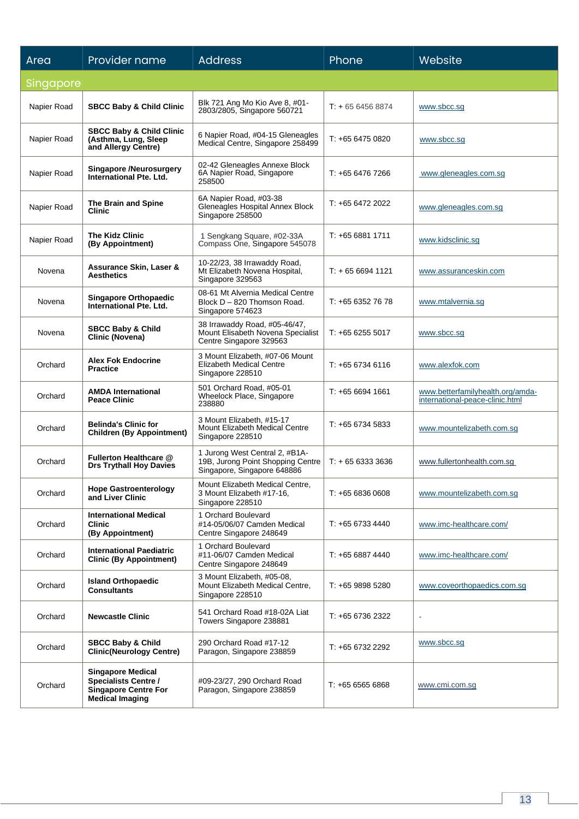| Area        | Provider name                                                                                                    | <b>Address</b>                                                                                     | Phone             | Website                                                             |
|-------------|------------------------------------------------------------------------------------------------------------------|----------------------------------------------------------------------------------------------------|-------------------|---------------------------------------------------------------------|
| Singapore   |                                                                                                                  |                                                                                                    |                   |                                                                     |
| Napier Road | <b>SBCC Baby &amp; Child Clinic</b>                                                                              | Blk 721 Ang Mo Kio Ave 8, #01-<br>2803/2805, Singapore 560721                                      | $T + 6564568874$  | www.sbcc.sg                                                         |
| Napier Road | <b>SBCC Baby &amp; Child Clinic</b><br>(Asthma, Lung, Sleep<br>and Allergy Centre)                               | 6 Napier Road, #04-15 Gleneagles<br>Medical Centre, Singapore 258499                               | T: +65 6475 0820  | www.sbcc.sg                                                         |
| Napier Road | <b>Singapore /Neurosurgery</b><br>International Pte. Ltd.                                                        | 02-42 Gleneagles Annexe Block<br>6A Napier Road, Singapore<br>258500                               | T: +65 6476 7266  | www.gleneagles.com.sg                                               |
| Napier Road | The Brain and Spine<br><b>Clinic</b>                                                                             | 6A Napier Road, #03-38<br>Gleneagles Hospital Annex Block<br>Singapore 258500                      | T: +65 6472 2022  | www.gleneagles.com.sg                                               |
| Napier Road | <b>The Kidz Clinic</b><br>(By Appointment)                                                                       | 1 Sengkang Square, #02-33A<br>Compass One, Singapore 545078                                        | $T: +6568811711$  | www.kidsclinic.sg                                                   |
| Novena      | Assurance Skin, Laser &<br><b>Aesthetics</b>                                                                     | 10-22/23, 38 Irrawaddy Road,<br>Mt Elizabeth Novena Hospital,<br>Singapore 329563                  | $T: +6566941121$  | www.assuranceskin.com                                               |
| Novena      | Singapore Orthopaedic<br>International Pte. Ltd.                                                                 | 08-61 Mt Alvernia Medical Centre<br>Block D - 820 Thomson Road.<br>Singapore 574623                | T: +65 6352 76 78 | www.mtalvernia.sg                                                   |
| Novena      | <b>SBCC Baby &amp; Child</b><br>Clinic (Novena)                                                                  | 38 Irrawaddy Road, #05-46/47,<br>Mount Elisabeth Novena Specialist<br>Centre Singapore 329563      | $T: +6562555017$  | www.sbcc.sg                                                         |
| Orchard     | <b>Alex Fok Endocrine</b><br><b>Practice</b>                                                                     | 3 Mount Elizabeth, #07-06 Mount<br><b>Elizabeth Medical Centre</b><br>Singapore 228510             | $T: +6567346116$  | www.alexfok.com                                                     |
| Orchard     | <b>AMDA International</b><br><b>Peace Clinic</b>                                                                 | 501 Orchard Road, #05-01<br>Wheelock Place, Singapore<br>238880                                    | T: +65 6694 1661  | www.betterfamilyhealth.org/amda-<br>international-peace-clinic.html |
| Orchard     | <b>Belinda's Clinic for</b><br><b>Children (By Appointment)</b>                                                  | 3 Mount Elizabeth, #15-17<br>Mount Elizabeth Medical Centre<br>Singapore 228510                    | $T: +6567345833$  | www.mountelizabeth.com.sg                                           |
| Orchard     | Fullerton Healthcare @<br><b>Drs Trythall Hoy Davies</b>                                                         | 1 Jurong West Central 2, #B1A-<br>19B, Jurong Point Shopping Centre<br>Singapore, Singapore 648886 | $T: +6563333636$  | www.fullertonhealth.com.sg                                          |
| Orchard     | <b>Hope Gastroenterology</b><br>and Liver Clinic                                                                 | Mount Elizabeth Medical Centre,<br>3 Mount Elizabeth #17-16,<br>Singapore 228510                   | $T: +6568360608$  | www.mountelizabeth.com.sg                                           |
| Orchard     | <b>International Medical</b><br><b>Clinic</b><br>(By Appointment)                                                | 1 Orchard Boulevard<br>#14-05/06/07 Camden Medical<br>Centre Singapore 248649                      | $T: +6567334440$  | www.imc-healthcare.com/                                             |
| Orchard     | <b>International Paediatric</b><br><b>Clinic (By Appointment)</b>                                                | 1 Orchard Boulevard<br>#11-06/07 Camden Medical<br>Centre Singapore 248649                         | $T: +6568874440$  | www.imc-healthcare.com/                                             |
| Orchard     | <b>Island Orthopaedic</b><br><b>Consultants</b>                                                                  | 3 Mount Elizabeth, #05-08,<br>Mount Elizabeth Medical Centre,<br>Singapore 228510                  | T: +65 9898 5280  | www.coveorthopaedics.com.sg                                         |
| Orchard     | <b>Newcastle Clinic</b>                                                                                          | 541 Orchard Road #18-02A Liat<br>Towers Singapore 238881                                           | T: +65 6736 2322  |                                                                     |
| Orchard     | <b>SBCC Baby &amp; Child</b><br><b>Clinic(Neurology Centre)</b>                                                  | 290 Orchard Road #17-12<br>Paragon, Singapore 238859                                               | T: +65 6732 2292  | www.sbcc.sg                                                         |
| Orchard     | <b>Singapore Medical</b><br><b>Specialists Centre /</b><br><b>Singapore Centre For</b><br><b>Medical Imaging</b> | #09-23/27, 290 Orchard Road<br>Paragon, Singapore 238859                                           | $T: +6565656868$  | www.cmi.com.sg                                                      |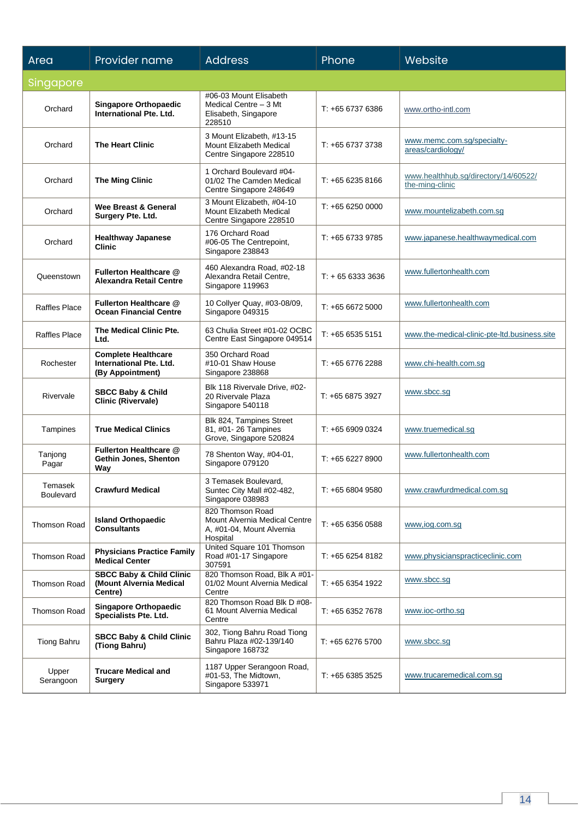| Area                 | Provider name                                                                    | <b>Address</b>                                                                             | Phone            | Website                                                 |
|----------------------|----------------------------------------------------------------------------------|--------------------------------------------------------------------------------------------|------------------|---------------------------------------------------------|
| Singapore            |                                                                                  |                                                                                            |                  |                                                         |
| Orchard              | <b>Singapore Orthopaedic</b><br><b>International Pte. Ltd.</b>                   | #06-03 Mount Elisabeth<br>Medical Centre - 3 Mt<br>Elisabeth, Singapore<br>228510          | T: +65 6737 6386 | www.ortho-intl.com                                      |
| Orchard              | <b>The Heart Clinic</b>                                                          | 3 Mount Elizabeth, #13-15<br>Mount Elizabeth Medical<br>Centre Singapore 228510            | $T: +6567373738$ | www.memc.com.sg/specialty-<br>areas/cardiology/         |
| Orchard              | <b>The Ming Clinic</b>                                                           | 1 Orchard Boulevard #04-<br>01/02 The Camden Medical<br>Centre Singapore 248649            | $T: +6562358166$ | www.healthhub.sg/directory/14/60522/<br>the-ming-clinic |
| Orchard              | Wee Breast & General<br>Surgery Pte. Ltd.                                        | 3 Mount Elizabeth, #04-10<br>Mount Elizabeth Medical<br>Centre Singapore 228510            | $T: +6562500000$ | www.mountelizabeth.com.sg                               |
| Orchard              | <b>Healthway Japanese</b><br><b>Clinic</b>                                       | 176 Orchard Road<br>#06-05 The Centrepoint,<br>Singapore 238843                            | $T: +6567339785$ | www.japanese.healthwaymedical.com                       |
| Queenstown           | Fullerton Healthcare @<br><b>Alexandra Retail Centre</b>                         | 460 Alexandra Road, #02-18<br>Alexandra Retail Centre,<br>Singapore 119963                 | $T: +6563333636$ | www.fullertonhealth.com                                 |
| <b>Raffles Place</b> | Fullerton Healthcare @<br><b>Ocean Financial Centre</b>                          | 10 Collyer Quay, #03-08/09,<br>Singapore 049315                                            | $T: +6566725000$ | www.fullertonhealth.com                                 |
| Raffles Place        | The Medical Clinic Pte.<br>Ltd.                                                  | 63 Chulia Street #01-02 OCBC<br>Centre East Singapore 049514                               | $T: +6565355151$ | www.the-medical-clinic-pte-ltd.business.site            |
| Rochester            | <b>Complete Healthcare</b><br><b>International Pte. Ltd.</b><br>(By Appointment) | 350 Orchard Road<br>#10-01 Shaw House<br>Singapore 238868                                  | $T: +6567762288$ | www.chi-health.com.sg                                   |
| Rivervale            | <b>SBCC Baby &amp; Child</b><br><b>Clinic (Rivervale)</b>                        | Blk 118 Rivervale Drive, #02-<br>20 Rivervale Plaza<br>Singapore 540118                    | T: +65 6875 3927 | www.sbcc.sg                                             |
| Tampines             | <b>True Medical Clinics</b>                                                      | Blk 824, Tampines Street<br>81, #01-26 Tampines<br>Grove, Singapore 520824                 | $T: +6569090324$ | www.truemedical.sg                                      |
| Tanjong<br>Pagar     | Fullerton Healthcare @<br>Gethin Jones, Shenton<br>Way                           | 78 Shenton Way, #04-01,<br>Singapore 079120                                                | $T: +6562278900$ | www.fullertonhealth.com                                 |
| Temasek<br>Boulevard | <b>Crawfurd Medical</b>                                                          | 3 Temasek Boulevard,<br>Suntec City Mall #02-482,<br>Singapore 038983                      | $T: +6566049580$ | www.crawfurdmedical.com.sg                              |
| <b>Thomson Road</b>  | <b>Island Orthopaedic</b><br><b>Consultants</b>                                  | 820 Thomson Road<br>Mount Alvernia Medical Centre<br>A, #01-04, Mount Alvernia<br>Hospital | $T: +6563560588$ | www.iog.com.sg                                          |
| <b>Thomson Road</b>  | <b>Physicians Practice Family</b><br><b>Medical Center</b>                       | United Square 101 Thomson<br>Road #01-17 Singapore<br>307591                               | $T: +6562548182$ | www.physicianspracticeclinic.com                        |
| <b>Thomson Road</b>  | <b>SBCC Baby &amp; Child Clinic</b><br>(Mount Alvernia Medical<br>Centre)        | 820 Thomson Road, Blk A #01-<br>01/02 Mount Alvernia Medical<br>Centre                     | $T: +6563541922$ | www.sbcc.sg                                             |
| <b>Thomson Road</b>  | <b>Singapore Orthopaedic</b><br>Specialists Pte. Ltd.                            | 820 Thomson Road Blk D #08-<br>61 Mount Alvernia Medical<br>Centre                         | $T: +6563527678$ | www.ioc-ortho.sg                                        |
| Tiong Bahru          | <b>SBCC Baby &amp; Child Clinic</b><br>(Tiong Bahru)                             | 302, Tiong Bahru Road Tiong<br>Bahru Plaza #02-139/140<br>Singapore 168732                 | T: +65 6276 5700 | www.sbcc.sg                                             |
| Upper<br>Serangoon   | <b>Trucare Medical and</b><br><b>Surgery</b>                                     | 1187 Upper Serangoon Road,<br>#01-53, The Midtown,<br>Singapore 533971                     | $T: +6563853525$ | www.trucaremedical.com.sg                               |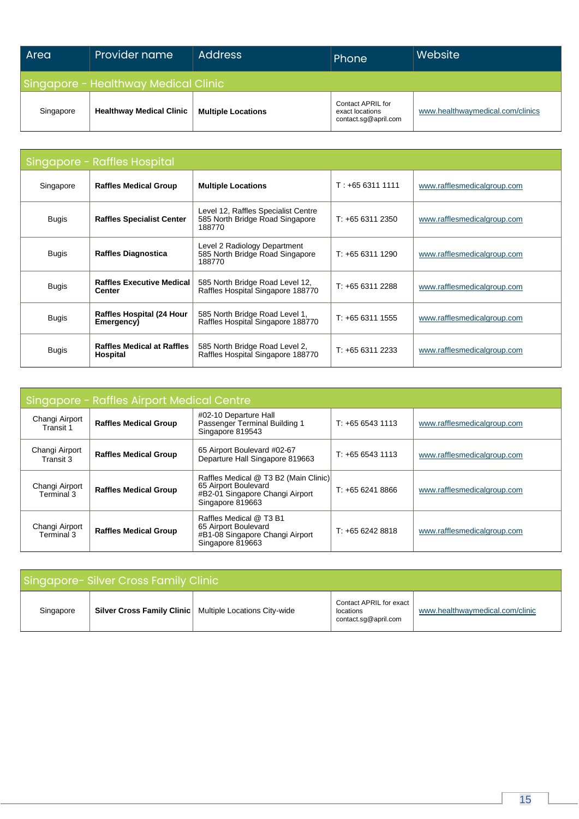| Area                                 | Provider name                   | <b>Address</b>            | Phone                                                        | Website                          |  |
|--------------------------------------|---------------------------------|---------------------------|--------------------------------------------------------------|----------------------------------|--|
| Singapore - Healthway Medical Clinic |                                 |                           |                                                              |                                  |  |
| Singapore                            | <b>Healthway Medical Clinic</b> | <b>Multiple Locations</b> | Contact APRIL for<br>exact locations<br>contact.sq@april.com | www.healthwaymedical.com/clinics |  |

| Singapore - Raffles Hospital |                                                |                                                                                  |                  |                             |
|------------------------------|------------------------------------------------|----------------------------------------------------------------------------------|------------------|-----------------------------|
| Singapore                    | <b>Raffles Medical Group</b>                   | <b>Multiple Locations</b>                                                        | $T: +6563111111$ | www.rafflesmedicalgroup.com |
| Bugis                        | <b>Raffles Specialist Center</b>               | Level 12, Raffles Specialist Centre<br>585 North Bridge Road Singapore<br>188770 | $T: +6563112350$ | www.rafflesmedicalgroup.com |
| <b>Bugis</b>                 | <b>Raffles Diagnostica</b>                     | Level 2 Radiology Department<br>585 North Bridge Road Singapore<br>188770        | $T: +6563111290$ | www.rafflesmedicalgroup.com |
| <b>Bugis</b>                 | <b>Raffles Executive Medical</b><br>Center     | 585 North Bridge Road Level 12,<br>Raffles Hospital Singapore 188770             | $T: +6563112288$ | www.rafflesmedicalgroup.com |
| <b>Bugis</b>                 | <b>Raffles Hospital (24 Hour</b><br>Emergency) | 585 North Bridge Road Level 1,<br>Raffles Hospital Singapore 188770              | $T: +6563111555$ | www.rafflesmedicalgroup.com |
| <b>Bugis</b>                 | <b>Raffles Medical at Raffles</b><br>Hospital  | 585 North Bridge Road Level 2,<br>Raffles Hospital Singapore 188770              | $T: +6563112233$ | www.rafflesmedicalgroup.com |

| Singapore - Raffles Airport Medical Centre |                              |                                                                                                                      |                  |                             |  |  |
|--------------------------------------------|------------------------------|----------------------------------------------------------------------------------------------------------------------|------------------|-----------------------------|--|--|
| Changi Airport<br>Transit 1                | <b>Raffles Medical Group</b> | #02-10 Departure Hall<br>Passenger Terminal Building 1<br>Singapore 819543                                           | $T: +6565431113$ | www.rafflesmedicalgroup.com |  |  |
| Changi Airport<br>Transit 3                | <b>Raffles Medical Group</b> | 65 Airport Boulevard #02-67<br>Departure Hall Singapore 819663                                                       | $T: +6565431113$ | www.rafflesmedicalgroup.com |  |  |
| Changi Airport<br>Terminal 3               | <b>Raffles Medical Group</b> | Raffles Medical @ T3 B2 (Main Clinic)<br>65 Airport Boulevard<br>#B2-01 Singapore Changi Airport<br>Singapore 819663 | $T: +6562418866$ | www.rafflesmedicalgroup.com |  |  |
| Changi Airport<br>Terminal 3               | <b>Raffles Medical Group</b> | Raffles Medical @ T3 B1<br>65 Airport Boulevard<br>#B1-08 Singapore Changi Airport<br>Singapore 819663               | $T: +6562428818$ | www.rafflesmedicalgroup.com |  |  |

| Singapore-Silver Cross Family Clinic |  |                                                                  |                                                              |                                 |  |
|--------------------------------------|--|------------------------------------------------------------------|--------------------------------------------------------------|---------------------------------|--|
| Singapore                            |  | <b>Silver Cross Family Clinic</b>   Multiple Locations City-wide | Contact APRIL for exact<br>locations<br>contact.sq@april.com | www.healthwaymedical.com/clinic |  |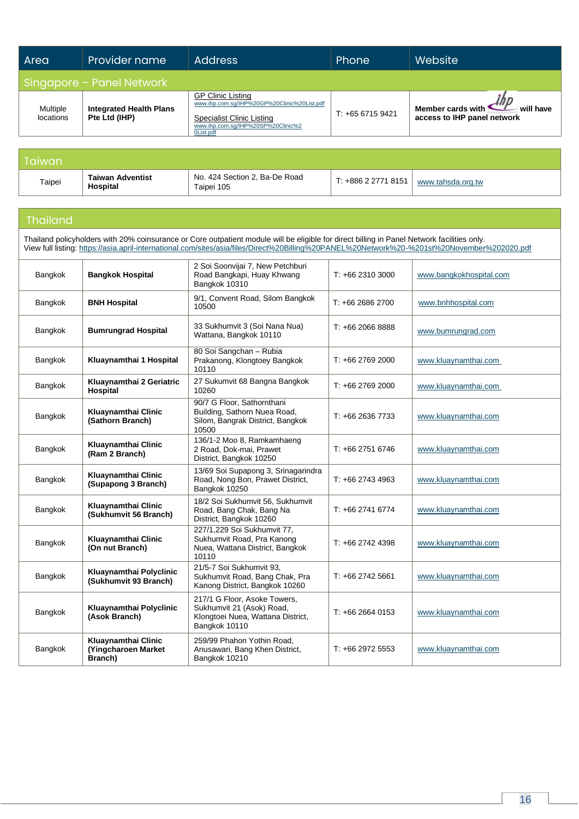| Area                         | Provider name                                   | <b>Address</b>                                                                                                                                                 | Phone            | Website                                                       |  |  |  |
|------------------------------|-------------------------------------------------|----------------------------------------------------------------------------------------------------------------------------------------------------------------|------------------|---------------------------------------------------------------|--|--|--|
|                              | Singapore - Panel Network                       |                                                                                                                                                                |                  |                                                               |  |  |  |
| <b>Multiple</b><br>locations | <b>Integrated Health Plans</b><br>Pte Ltd (IHP) | <b>GP Clinic Listing</b><br>www.ihp.com.sq/IHP%20GP%20Clinic%20List.pdf<br><b>Specialist Clinic Listing</b><br>www.ihp.com.sq/IHP%20SP%20Clinic%2<br>0List.pdf | $T: +6567159421$ | Member cards with<br>will have<br>access to IHP panel network |  |  |  |

| Taiwan |                                     |                                             |                     |                   |
|--------|-------------------------------------|---------------------------------------------|---------------------|-------------------|
| Taipei | <b>Taiwan Adventist</b><br>Hospital | No. 424 Section 2, Ba-De Road<br>Taipei 105 | T: +886 2 2771 8151 | www.tahsda.org.tw |

## Thailand

Thailand policyholders with 20% coinsurance or Core outpatient module will be eligible for direct billing in Panel Network facilities only. View full listing[: https://asia.april-international.com/sites/asia/files/Direct%20Billing%20PANEL%20Network%20-%201st%20November%202020.pdf](https://asia.april-international.com/sites/asia/files/Direct%20Billing%20PANEL%20Network%20-%201st%20November%202020.pdf)

| Bangkok | <b>Bangkok Hospital</b>                               | 2 Soi Soonvijai 7, New Petchburi<br>Road Bangkapi, Huay Khwang<br>Bangkok 10310                                 | $T: +6623103000$ | www.bangkokhospital.com |
|---------|-------------------------------------------------------|-----------------------------------------------------------------------------------------------------------------|------------------|-------------------------|
| Bangkok | <b>BNH Hospital</b>                                   | 9/1, Convent Road, Silom Bangkok<br>10500                                                                       | T: +66 2686 2700 | www.bnhhospital.com     |
| Bangkok | <b>Bumrungrad Hospital</b>                            | 33 Sukhumvit 3 (Soi Nana Nua)<br>Wattana, Bangkok 10110                                                         | $T: +6620668888$ | www.bumrungrad.com      |
| Bangkok | Kluaynamthai 1 Hospital                               | 80 Soi Sangchan - Rubia<br>Prakanong, Klongtoey Bangkok<br>10110                                                | T: +66 2769 2000 | www.kluaynamthai.com    |
| Bangkok | Kluaynamthai 2 Geriatric<br><b>Hospital</b>           | 27 Sukumvit 68 Bangna Bangkok<br>10260                                                                          | $T: +6627692000$ | www.kluaynamthai.com    |
| Bangkok | Kluaynamthai Clinic<br>(Sathorn Branch)               | 90/7 G Floor, Sathornthani<br>Building, Sathorn Nuea Road,<br>Silom, Bangrak District, Bangkok<br>10500         | $T: +6626367733$ | www.kluaynamthai.com    |
| Bangkok | Kluaynamthai Clinic<br>(Ram 2 Branch)                 | 136/1-2 Moo 8, Ramkamhaeng<br>2 Road, Dok-mai, Prawet<br>District, Bangkok 10250                                | T: +66 2751 6746 | www.kluaynamthai.com    |
| Bangkok | Kluaynamthai Clinic<br>(Supapong 3 Branch)            | 13/69 Soi Supapong 3, Srinagarindra<br>Road, Nong Bon, Prawet District,<br>Bangkok 10250                        | T: +66 2743 4963 | www.kluaynamthai.com    |
| Bangkok | Kluaynamthai Clinic<br>(Sukhumvit 56 Branch)          | 18/2 Soi Sukhumvit 56, Sukhumvit<br>Road, Bang Chak, Bang Na<br>District, Bangkok 10260                         | T: +66 2741 6774 | www.kluaynamthai.com    |
| Bangkok | Kluaynamthai Clinic<br>(On nut Branch)                | 227/1,229 Soi Sukhumvit 77,<br>Sukhumvit Road, Pra Kanong<br>Nuea, Wattana District, Bangkok<br>10110           | T: +66 2742 4398 | www.kluaynamthai.com    |
| Bangkok | Kluaynamthai Polyclinic<br>(Sukhumvit 93 Branch)      | 21/5-7 Soi Sukhumvit 93.<br>Sukhumvit Road, Bang Chak, Pra<br>Kanong District, Bangkok 10260                    | $T: +6627425661$ | www.kluaynamthai.com    |
| Bangkok | Kluaynamthai Polyclinic<br>(Asok Branch)              | 217/1 G Floor, Asoke Towers,<br>Sukhumvit 21 (Asok) Road,<br>Klongtoei Nuea, Wattana District,<br>Bangkok 10110 | $T: +6626640153$ | www.kluaynamthai.com    |
| Bangkok | Kluaynamthai Clinic<br>(Yingcharoen Market<br>Branch) | 259/99 Phahon Yothin Road,<br>Anusawari, Bang Khen District,<br>Bangkok 10210                                   | $T: +6629725553$ | www.kluaynamthai.com    |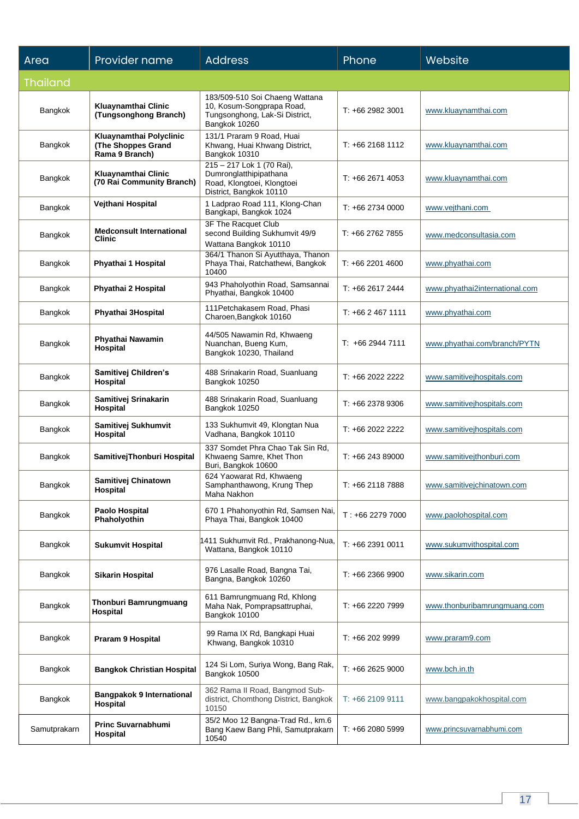| Area           | Provider name                                                   | <b>Address</b>                                                                                                 | Phone            | Website                        |
|----------------|-----------------------------------------------------------------|----------------------------------------------------------------------------------------------------------------|------------------|--------------------------------|
| Thailand       |                                                                 |                                                                                                                |                  |                                |
| Bangkok        | Kluaynamthai Clinic<br>(Tungsonghong Branch)                    | 183/509-510 Soi Chaeng Wattana<br>10, Kosum-Songprapa Road,<br>Tungsonghong, Lak-Si District,<br>Bangkok 10260 | $T: +6629823001$ | www.kluaynamthai.com           |
| Bangkok        | Kluaynamthai Polyclinic<br>(The Shoppes Grand<br>Rama 9 Branch) | 131/1 Praram 9 Road, Huai<br>Khwang, Huai Khwang District,<br>Bangkok 10310                                    | $T: +6621681112$ | www.kluaynamthai.com           |
| <b>Bangkok</b> | Kluaynamthai Clinic<br>(70 Rai Community Branch)                | 215 - 217 Lok 1 (70 Rai),<br>Dumronglatthipipathana<br>Road, Klongtoei, Klongtoei<br>District, Bangkok 10110   | $T: +6626714053$ | www.kluaynamthai.com           |
| Bangkok        | Vejthani Hospital                                               | 1 Ladprao Road 111, Klong-Chan<br>Bangkapi, Bangkok 1024                                                       | $T: +6627340000$ | www.vejthani.com               |
| Bangkok        | <b>Medconsult International</b><br>Clinic                       | 3F The Racquet Club<br>second Building Sukhumvit 49/9<br>Wattana Bangkok 10110                                 | $T: +6627627855$ | www.medconsultasia.com         |
| Bangkok        | Phyathai 1 Hospital                                             | 364/1 Thanon Si Ayutthaya, Thanon<br>Phaya Thai, Ratchathewi, Bangkok<br>10400                                 | T: +66 2201 4600 | www.phyathai.com               |
| Bangkok        | Phyathai 2 Hospital                                             | 943 Phaholyothin Road, Samsannai<br>Phyathai, Bangkok 10400                                                    | $T: +6626172444$ | www.phyathai2international.com |
| Bangkok        | Phyathai 3Hospital                                              | 111 Petchakasem Road, Phasi<br>Charoen, Bangkok 10160                                                          | $T: +6624671111$ | www.phyathai.com               |
| Bangkok        | Phyathai Nawamin<br>Hospital                                    | 44/505 Nawamin Rd, Khwaeng<br>Nuanchan, Bueng Kum,<br>Bangkok 10230, Thailand                                  | $T: +6629447111$ | www.phyathai.com/branch/PYTN   |
| Bangkok        | Samitivej Children's<br>Hospital                                | 488 Srinakarin Road, Suanluang<br>Bangkok 10250                                                                | $T: +662022222$  | www.samitivejhospitals.com     |
| Bangkok        | Samitivej Srinakarin<br>Hospital                                | 488 Srinakarin Road, Suanluang<br>Bangkok 10250                                                                | $T: +6623789306$ | www.samitivejhospitals.com     |
| Bangkok        | Samitivej Sukhumvit<br>Hospital                                 | 133 Sukhumvit 49, Klongtan Nua<br>Vadhana, Bangkok 10110                                                       | $T: +662022222$  | www.samitivejhospitals.com     |
| Bangkok        | SamitivejThonburi Hospital                                      | 337 Somdet Phra Chao Tak Sin Rd.<br>Khwaeng Samre, Khet Thon<br>Buri, Bangkok 10600                            | $T: +6624389000$ | www.samitivejthonburi.com      |
| Bangkok        | Samitivej Chinatown<br>Hospital                                 | 624 Yaowarat Rd, Khwaeng<br>Samphanthawong, Krung Thep<br>Maha Nakhon                                          | T: +66 2118 7888 | www.samitivejchinatown.com     |
| Bangkok        | Paolo Hospital<br>Phaholyothin                                  | 670 1 Phahonyothin Rd, Samsen Nai,<br>Phaya Thai, Bangkok 10400                                                | $T: +6622797000$ | www.paolohospital.com          |
| Bangkok        | <b>Sukumvit Hospital</b>                                        | 1411 Sukhumvit Rd., Prakhanong-Nua,<br>Wattana, Bangkok 10110                                                  | T: +66 2391 0011 | www.sukumvithospital.com       |
| Bangkok        | <b>Sikarin Hospital</b>                                         | 976 Lasalle Road, Bangna Tai,<br>Bangna, Bangkok 10260                                                         | $T: +6623669900$ | www.sikarin.com                |
| Bangkok        | <b>Thonburi Bamrungmuang</b><br>Hospital                        | 611 Bamrungmuang Rd, Khlong<br>Maha Nak, Pomprapsattruphai,<br>Bangkok 10100                                   | T: +66 2220 7999 | www.thonburibamrungmuang.com   |
| Bangkok        | <b>Praram 9 Hospital</b>                                        | 99 Rama IX Rd, Bangkapi Huai<br>Khwang, Bangkok 10310                                                          | T: +66 202 9999  | www.praram9.com                |
| Bangkok        | <b>Bangkok Christian Hospital</b>                               | 124 Si Lom, Suriya Wong, Bang Rak,<br>Bangkok 10500                                                            | $T: +6626259000$ | www.bch.in.th                  |
| Bangkok        | <b>Bangpakok 9 International</b><br>Hospital                    | 362 Rama II Road, Bangmod Sub-<br>district, Chomthong District, Bangkok<br>10150                               | $T: +6621099111$ | www.bangpakokhospital.com      |
| Samutprakarn   | <b>Princ Suvarnabhumi</b><br>Hospital                           | 35/2 Moo 12 Bangna-Trad Rd., km.6<br>Bang Kaew Bang Phli, Samutprakarn<br>10540                                | $T: +6620805999$ | www.princsuvarnabhumi.com      |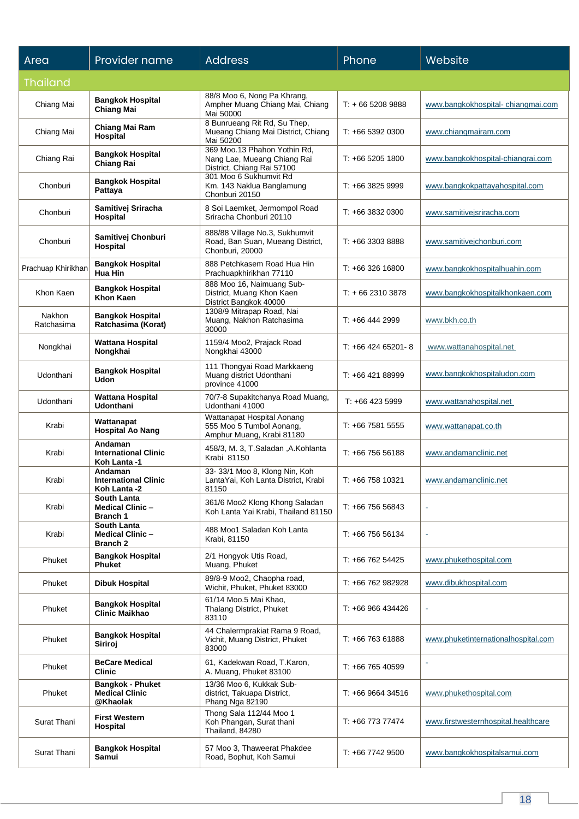| Area                 | Provider name                                                | <b>Address</b>                                                                            | Phone                | Website                             |
|----------------------|--------------------------------------------------------------|-------------------------------------------------------------------------------------------|----------------------|-------------------------------------|
| <b>Thailand</b>      |                                                              |                                                                                           |                      |                                     |
| Chiang Mai           | <b>Bangkok Hospital</b><br><b>Chiang Mai</b>                 | 88/8 Moo 6, Nong Pa Khrang,<br>Ampher Muang Chiang Mai, Chiang<br>Mai 50000               | $T: +6652089888$     | www.bangkokhospital-chiangmai.com   |
| Chiang Mai           | Chiang Mai Ram<br>Hospital                                   | 8 Bunrueang Rit Rd, Su Thep,<br>Mueang Chiang Mai District, Chiang<br>Mai 50200           | $T: +6653920300$     | www.chiangmairam.com                |
| Chiang Rai           | Bangkok Hospital<br><b>Chiang Rai</b>                        | 369 Moo.13 Phahon Yothin Rd,<br>Nang Lae, Mueang Chiang Rai<br>District, Chiang Rai 57100 | $T: +6652051800$     | www.bangkokhospital-chiangrai.com   |
| Chonburi             | <b>Bangkok Hospital</b><br>Pattaya                           | 301 Moo 6 Sukhumvit Rd<br>Km. 143 Naklua Banglamung<br>Chonburi 20150                     | T: +66 3825 9999     | www.bangkokpattayahospital.com      |
| Chonburi             | Samitivej Sriracha<br>Hospital                               | 8 Soi Laemket, Jermompol Road<br>Sriracha Chonburi 20110                                  | $T: +6638320300$     | www.samitivejsriracha.com           |
| Chonburi             | Samitivej Chonburi<br>Hospital                               | 888/88 Village No.3, Sukhumvit<br>Road, Ban Suan, Mueang District,<br>Chonburi, 20000     | $T: +6633038888$     | www.samitivejchonburi.com           |
| Prachuap Khirikhan   | <b>Bangkok Hospital</b><br>Hua Hin                           | 888 Petchkasem Road Hua Hin<br>Prachuapkhirikhan 77110                                    | $T: +6632616800$     | www.bangkokhospitalhuahin.com       |
| Khon Kaen            | Bangkok Hospital<br>Khon Kaen                                | 888 Moo 16, Naimuang Sub-<br>District, Muang Khon Kaen<br>District Bangkok 40000          | $T: +6623103878$     | www.bangkokhospitalkhonkaen.com     |
| Nakhon<br>Ratchasima | <b>Bangkok Hospital</b><br>Ratchasima (Korat)                | 1308/9 Mitrapap Road, Nai<br>Muang, Nakhon Ratchasima<br>30000                            | T: +66 444 2999      | www.bkh.co.th                       |
| Nongkhai             | <b>Wattana Hospital</b><br>Nongkhai                          | 1159/4 Moo2, Prajack Road<br>Nongkhai 43000                                               | $T: +6642465201 - 8$ | www.wattanahospital.net             |
| Udonthani            | <b>Bangkok Hospital</b><br>Udon                              | 111 Thongyai Road Markkaeng<br>Muang district Udonthani<br>province 41000                 | $T: +6642188999$     | www.bangkokhospitaludon.com         |
| Udonthani            | Wattana Hospital<br>Udonthani                                | 70/7-8 Supakitchanya Road Muang,<br>Udonthani 41000                                       | $T: +664235999$      | www.wattanahospital.net             |
| Krabi                | Wattanapat<br><b>Hospital Ao Nang</b>                        | Wattanapat Hospital Aonang<br>555 Moo 5 Tumbol Aonang,<br>Amphur Muang, Krabi 81180       | $T: +667581555$      | www.wattanapat.co.th                |
| Krabi                | Andaman<br><b>International Clinic</b><br>Koh Lanta -1       | 458/3, M. 3, T.Saladan ,A.Kohlanta<br>Krabi 81150                                         | $T: +6675656188$     | www.andamanclinic.net               |
| Krabi                | Andaman<br><b>International Clinic</b><br>Koh Lanta -2       | 33- 33/1 Moo 8, Klong Nin, Koh<br>LantaYai, Koh Lanta District, Krabi<br>81150            | T: +66 758 10321     | www.andamanclinic.net               |
| Krabi                | South Lanta<br><b>Medical Clinic-</b><br>Branch 1            | 361/6 Moo2 Klong Khong Saladan<br>Koh Lanta Yai Krabi, Thailand 81150                     | $T: +6675656843$     |                                     |
| Krabi                | South Lanta<br><b>Medical Clinic-</b><br><b>Branch 2</b>     | 488 Moo1 Saladan Koh Lanta<br>Krabi, 81150                                                | $T: +6675656134$     | $\blacksquare$                      |
| Phuket               | <b>Bangkok Hospital</b><br><b>Phuket</b>                     | 2/1 Hongyok Utis Road,<br>Muang, Phuket                                                   | $T: +6676254425$     | www.phukethospital.com              |
| Phuket               | Dibuk Hospital                                               | 89/8-9 Moo2, Chaopha road,<br>Wichit, Phuket, Phuket 83000                                | T: +66 762 982928    | www.dibukhospital.com               |
| Phuket               | <b>Bangkok Hospital</b><br>Clinic Maikhao                    | 61/14 Moo.5 Mai Khao,<br>Thalang District, Phuket<br>83110                                | $T: +66966434426$    | $\overline{\phantom{a}}$            |
| Phuket               | <b>Bangkok Hospital</b><br>Siriroj                           | 44 Chalermprakiat Rama 9 Road,<br>Vichit, Muang District, Phuket<br>83000                 | T: +66 763 61888     | www.phuketinternationalhospital.com |
| Phuket               | <b>BeCare Medical</b><br>Clinic                              | 61, Kadekwan Road, T.Karon,<br>A. Muang, Phuket 83100                                     | T: +66 765 40599     | $\overline{\phantom{a}}$            |
| Phuket               | <b>Bangkok - Phuket</b><br><b>Medical Clinic</b><br>@Khaolak | 13/36 Moo 6, Kukkak Sub-<br>district, Takuapa District,<br>Phang Nga 82190                | $T: +66966434516$    | www.phukethospital.com              |
| Surat Thani          | <b>First Western</b><br>Hospital                             | Thong Sala 112/44 Moo 1<br>Koh Phangan, Surat thani<br>Thailand, 84280                    | T: +66 773 77474     | www.firstwesternhospital.healthcare |
| Surat Thani          | <b>Bangkok Hospital</b><br>Samui                             | 57 Moo 3, Thaweerat Phakdee<br>Road, Bophut, Koh Samui                                    | $T: +6677429500$     | www.bangkokhospitalsamui.com        |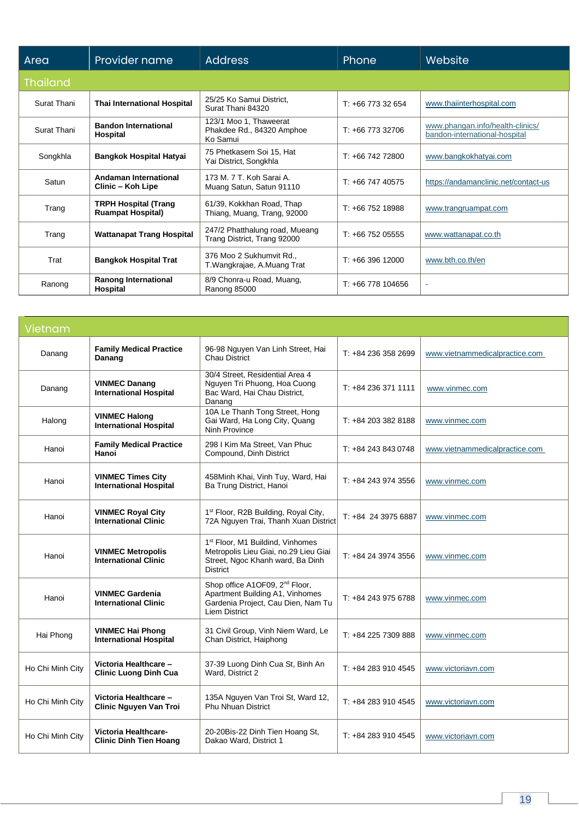| Area            | Provider name                                           | <b>Address</b>                                                  | Phone             | Website                                                           |
|-----------------|---------------------------------------------------------|-----------------------------------------------------------------|-------------------|-------------------------------------------------------------------|
| <b>Thailand</b> |                                                         |                                                                 |                   |                                                                   |
| Surat Thani     | <b>Thai International Hospital</b>                      | 25/25 Ko Samui District,<br>Surat Thani 84320                   | $T: +66773332654$ | www.thaiinterhospital.com                                         |
| Surat Thani     | <b>Bandon International</b><br>Hospital                 | 123/1 Moo 1, Thaweerat<br>Phakdee Rd., 84320 Amphoe<br>Ko Samui | $T: +6677332706$  | www.phangan.info/health-clinics/<br>bandon-international-hospital |
| Songkhla        | <b>Bangkok Hospital Hatyai</b>                          | 75 Phetkasem Soi 15, Hat<br>Yai District, Songkhla              | $T: +6674272800$  | www.bangkokhatyai.com                                             |
| Satun           | Andaman International<br>Clinic - Koh Lipe              | 173 M. 7 T. Koh Sarai A.<br>Muang Satun, Satun 91110            | $T: +6674740575$  | https://andamanclinic.net/contact-us                              |
| Trang           | <b>TRPH Hospital (Trang</b><br><b>Ruampat Hospital)</b> | 61/39, Kokkhan Road, Thap<br>Thiang, Muang, Trang, 92000        | $T: +6675218988$  | www.trangruampat.com                                              |
| Trang           | <b>Wattanapat Trang Hospital</b>                        | 247/2 Phatthalung road, Mueang<br>Trang District, Trang 92000   | $T: +6675205555$  | www.wattanapat.co.th                                              |
| Trat            | <b>Bangkok Hospital Trat</b>                            | 376 Moo 2 Sukhumvit Rd.,<br>T. Wangkrajae, A. Muang Trat        | $T: +6639612000$  | www.bth.co.th/en                                                  |
| Ranong          | Ranong International<br>Hospital                        | 8/9 Chonra-u Road, Muang,<br>Ranong 85000                       | $T: +66778104656$ | $\sim$                                                            |

| Vietnam          |                                                           |                                                                                                                                              |                     |                                |
|------------------|-----------------------------------------------------------|----------------------------------------------------------------------------------------------------------------------------------------------|---------------------|--------------------------------|
| Danang           | <b>Family Medical Practice</b><br>Danang                  | 96-98 Nguyen Van Linh Street, Hai<br><b>Chau District</b>                                                                                    | T: +84 236 358 2699 | www.vietnammedicalpractice.com |
| Danang           | <b>VINMEC Danang</b><br><b>International Hospital</b>     | 30/4 Street, Residential Area 4<br>Nguyen Tri Phuong, Hoa Cuong<br>Bac Ward, Hai Chau District,<br>Danang                                    | T: +84 236 371 1111 | www.vinmec.com                 |
| Halong           | <b>VINMEC Halong</b><br><b>International Hospital</b>     | 10A Le Thanh Tong Street, Hong<br>Gai Ward, Ha Long City, Quang<br><b>Ninh Province</b>                                                      | $T: +842033828188$  | www.vinmec.com                 |
| Hanoi            | <b>Family Medical Practice</b><br>Hanoi                   | 298   Kim Ma Street, Van Phuc<br>Compound, Dinh District                                                                                     | $T: +842438430748$  | www.vietnammedicalpractice.com |
| Hanoi            | <b>VINMEC Times City</b><br><b>International Hospital</b> | 458Minh Khai, Vinh Tuy, Ward, Hai<br>Ba Trung District, Hanoi                                                                                | T: +84 243 974 3556 | www.vinmec.com                 |
| Hanoi            | <b>VINMEC Royal City</b><br><b>International Clinic</b>   | 1 <sup>st</sup> Floor, R2B Building, Royal City,<br>72A Nguyen Trai, Thanh Xuan District                                                     | T: +84 24 3975 6887 | www.vinmec.com                 |
| Hanoi            | <b>VINMEC Metropolis</b><br><b>International Clinic</b>   | 1 <sup>st</sup> Floor, M1 Buildind, Vinhomes<br>Metropolis Lieu Giai, no.29 Lieu Giai<br>Street, Ngoc Khanh ward, Ba Dinh<br><b>District</b> | $T: +842439743556$  | www.vinmec.com                 |
| Hanoi            | <b>VINMEC Gardenia</b><br><b>International Clinic</b>     | Shop office A1OF09, 2 <sup>nd</sup> Floor,<br>Apartment Building A1, Vinhomes<br>Gardenia Project, Cau Dien, Nam Tu<br><b>Liem District</b>  | T: +84 243 975 6788 | www.vinmec.com                 |
| Hai Phong        | <b>VINMEC Hai Phong</b><br><b>International Hospital</b>  | 31 Civil Group, Vinh Niem Ward, Le<br>Chan District, Haiphong                                                                                | T: +84 225 7309 888 | www.vinmec.com                 |
| Ho Chi Minh City | Victoria Healthcare -<br><b>Clinic Luong Dinh Cua</b>     | 37-39 Luong Dinh Cua St, Binh An<br>Ward, District 2                                                                                         | $T: +842839104545$  | www.victoriavn.com             |
| Ho Chi Minh City | Victoria Healthcare -<br>Clinic Nguyen Van Troi           | 135A Nguyen Van Troi St, Ward 12,<br><b>Phu Nhuan District</b>                                                                               | $T: +842839104545$  | www.victoriavn.com             |
| Ho Chi Minh City | Victoria Healthcare-<br><b>Clinic Dinh Tien Hoang</b>     | 20-20Bis-22 Dinh Tien Hoang St,<br>Dakao Ward, District 1                                                                                    | T: +84 283 910 4545 | www.victoriavn.com             |